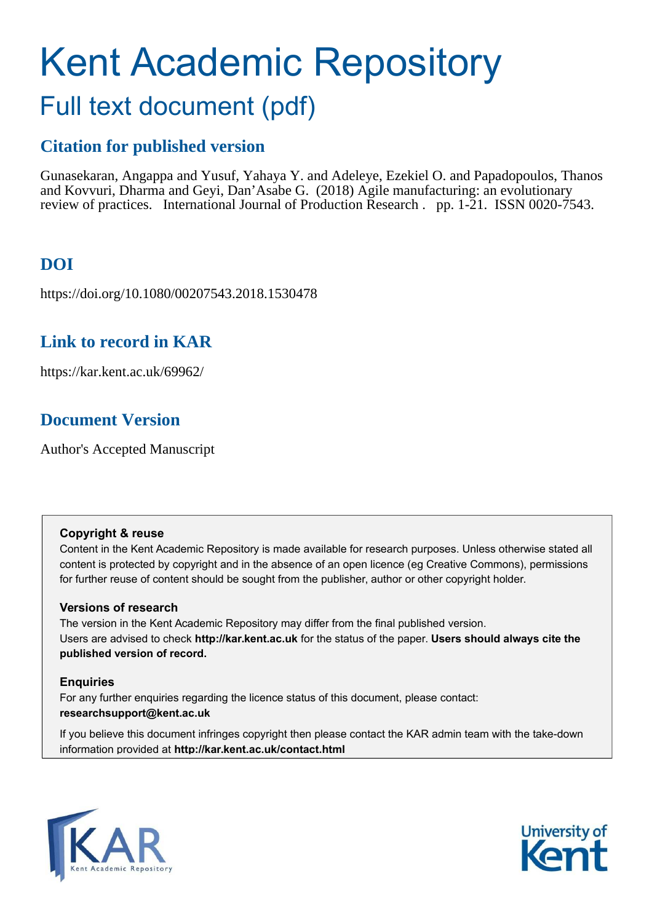# Kent Academic Repository Full text document (pdf)

# **Citation for published version**

Gunasekaran, Angappa and Yusuf, Yahaya Y. and Adeleye, Ezekiel O. and Papadopoulos, Thanos and Kovvuri, Dharma and Geyi, Dan'Asabe G. (2018) Agile manufacturing: an evolutionary review of practices. International Journal of Production Research . pp. 1-21. ISSN 0020-7543.

# **DOI**

https://doi.org/10.1080/00207543.2018.1530478

## **Link to record in KAR**

https://kar.kent.ac.uk/69962/

# **Document Version**

Author's Accepted Manuscript

## **Copyright & reuse**

Content in the Kent Academic Repository is made available for research purposes. Unless otherwise stated all content is protected by copyright and in the absence of an open licence (eg Creative Commons), permissions for further reuse of content should be sought from the publisher, author or other copyright holder.

## **Versions of research**

The version in the Kent Academic Repository may differ from the final published version. Users are advised to check **http://kar.kent.ac.uk** for the status of the paper. **Users should always cite the published version of record.**

## **Enquiries**

For any further enquiries regarding the licence status of this document, please contact: **researchsupport@kent.ac.uk**

If you believe this document infringes copyright then please contact the KAR admin team with the take-down information provided at **http://kar.kent.ac.uk/contact.html**



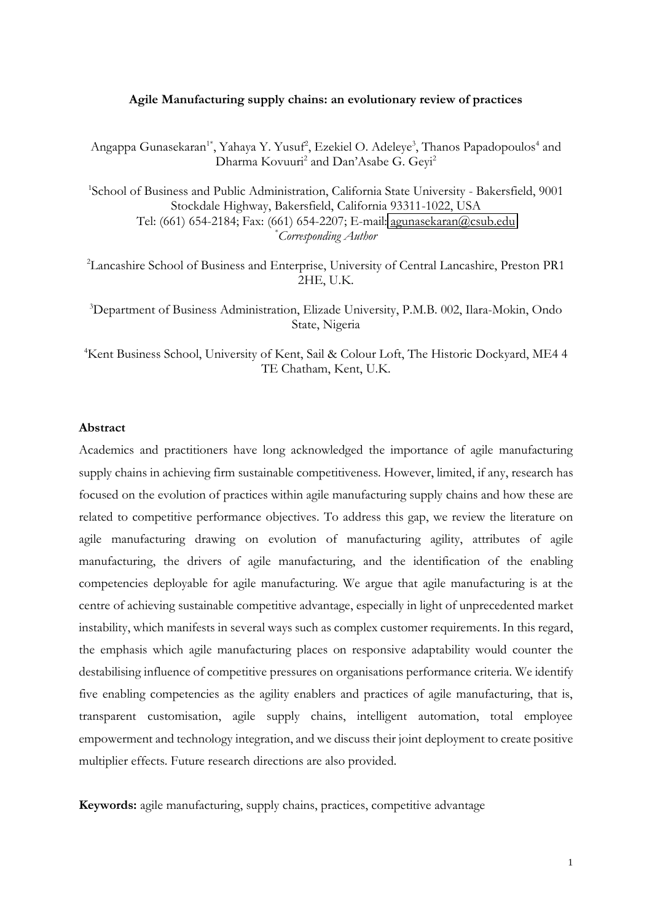#### **Agile Manufacturing supply chains: an evolutionary review of practices**

Angappa Gunasekaran<sup>1\*</sup>, Yahaya Y. Yusuf<sup>2</sup>, Ezekiel O. Adeleye<sup>3</sup>, Thanos Papadopoulos<sup>4</sup> and Dharma Kovuuri<sup>2</sup> and Dan'Asabe G. Geyi<sup>2</sup>

1 School of Business and Public Administration, California State University - Bakersfield, 9001 Stockdale Highway, Bakersfield, California 93311-1022, USA Tel: (661) 654-2184; Fax: (661) 654-2207; E-mail: [agunasekaran@csub.edu](mailto:agunasekaran@csub.edu)  \**Corresponding Author*

<sup>2</sup>Lancashire School of Business and Enterprise, University of Central Lancashire, Preston PR1 2HE, U.K.

<sup>3</sup>Department of Business Administration, Elizade University, P.M.B. 002, Ilara-Mokin, Ondo State, Nigeria

<sup>4</sup>Kent Business School, University of Kent, Sail & Colour Loft, The Historic Dockyard, ME4 4 TE Chatham, Kent, U.K.

#### **Abstract**

Academics and practitioners have long acknowledged the importance of agile manufacturing supply chains in achieving firm sustainable competitiveness. However, limited, if any, research has focused on the evolution of practices within agile manufacturing supply chains and how these are related to competitive performance objectives. To address this gap, we review the literature on agile manufacturing drawing on evolution of manufacturing agility, attributes of agile manufacturing, the drivers of agile manufacturing, and the identification of the enabling competencies deployable for agile manufacturing. We argue that agile manufacturing is at the centre of achieving sustainable competitive advantage, especially in light of unprecedented market instability, which manifests in several ways such as complex customer requirements. In this regard, the emphasis which agile manufacturing places on responsive adaptability would counter the destabilising influence of competitive pressures on organisations performance criteria. We identify five enabling competencies as the agility enablers and practices of agile manufacturing, that is, transparent customisation, agile supply chains, intelligent automation, total employee empowerment and technology integration, and we discuss their joint deployment to create positive multiplier effects. Future research directions are also provided.

**Keywords:** agile manufacturing, supply chains, practices, competitive advantage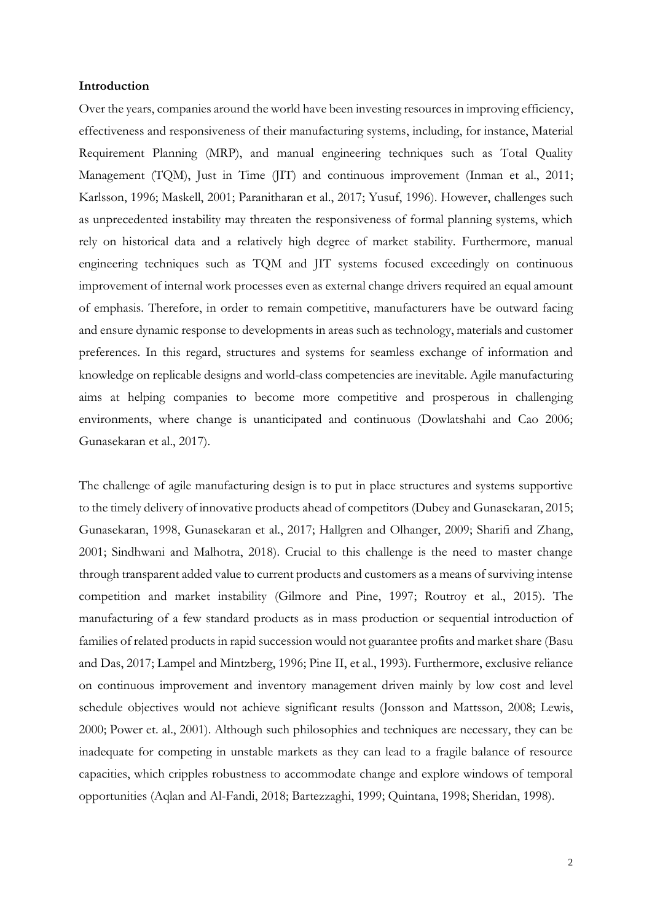#### **Introduction**

Over the years, companies around the world have been investing resources in improving efficiency, effectiveness and responsiveness of their manufacturing systems, including, for instance, Material Requirement Planning (MRP), and manual engineering techniques such as Total Quality Management (TQM), Just in Time (JIT) and continuous improvement (Inman et al., 2011; Karlsson, 1996; Maskell, 2001; Paranitharan et al., 2017; Yusuf, 1996). However, challenges such as unprecedented instability may threaten the responsiveness of formal planning systems, which rely on historical data and a relatively high degree of market stability. Furthermore, manual engineering techniques such as TQM and JIT systems focused exceedingly on continuous improvement of internal work processes even as external change drivers required an equal amount of emphasis. Therefore, in order to remain competitive, manufacturers have be outward facing and ensure dynamic response to developments in areas such as technology, materials and customer preferences. In this regard, structures and systems for seamless exchange of information and knowledge on replicable designs and world-class competencies are inevitable. Agile manufacturing aims at helping companies to become more competitive and prosperous in challenging environments, where change is unanticipated and continuous (Dowlatshahi and Cao 2006; Gunasekaran et al., 2017).

The challenge of agile manufacturing design is to put in place structures and systems supportive to the timely delivery of innovative products ahead of competitors (Dubey and Gunasekaran, 2015; Gunasekaran, 1998, Gunasekaran et al., 2017; Hallgren and Olhanger, 2009; Sharifi and Zhang, 2001; Sindhwani and Malhotra, 2018). Crucial to this challenge is the need to master change through transparent added value to current products and customers as a means of surviving intense competition and market instability (Gilmore and Pine, 1997; Routroy et al., 2015). The manufacturing of a few standard products as in mass production or sequential introduction of families of related products in rapid succession would not guarantee profits and market share (Basu and Das, 2017; Lampel and Mintzberg, 1996; Pine II, et al., 1993). Furthermore, exclusive reliance on continuous improvement and inventory management driven mainly by low cost and level schedule objectives would not achieve significant results (Jonsson and Mattsson, 2008; Lewis, 2000; Power et. al., 2001). Although such philosophies and techniques are necessary, they can be inadequate for competing in unstable markets as they can lead to a fragile balance of resource capacities, which cripples robustness to accommodate change and explore windows of temporal opportunities (Aqlan and Al-Fandi, 2018; Bartezzaghi, 1999; Quintana, 1998; Sheridan, 1998).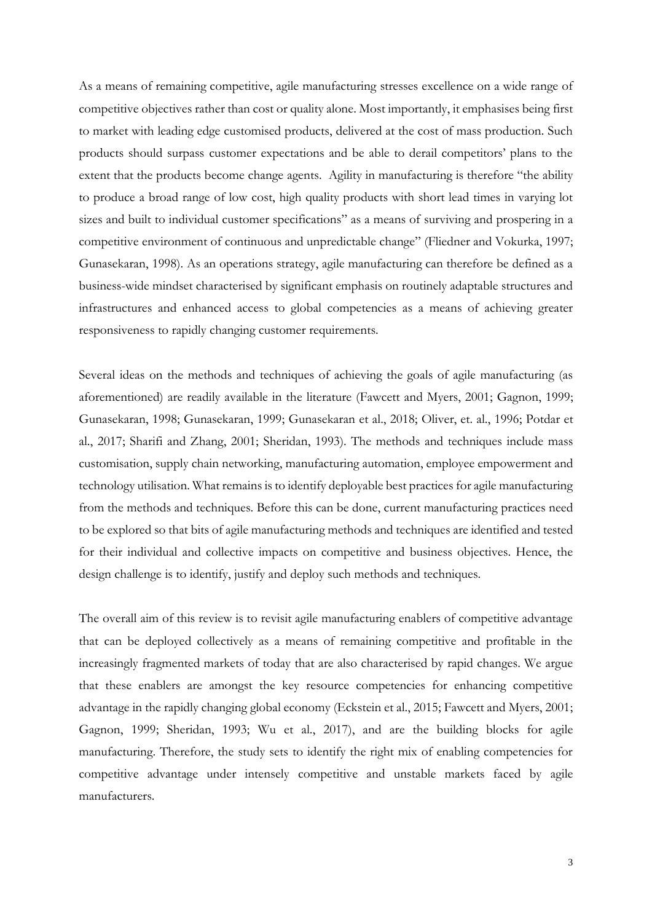As a means of remaining competitive, agile manufacturing stresses excellence on a wide range of competitive objectives rather than cost or quality alone. Most importantly, it emphasises being first to market with leading edge customised products, delivered at the cost of mass production. Such products should surpass customer expectations and be able to derail competitors' plans to the extent that the products become change agents. Agility in manufacturing is therefore "the ability to produce a broad range of low cost, high quality products with short lead times in varying lot sizes and built to individual customer specifications" as a means of surviving and prospering in a competitive environment of continuous and unpredictable change" (Fliedner and Vokurka, 1997; Gunasekaran, 1998). As an operations strategy, agile manufacturing can therefore be defined as a business-wide mindset characterised by significant emphasis on routinely adaptable structures and infrastructures and enhanced access to global competencies as a means of achieving greater responsiveness to rapidly changing customer requirements.

Several ideas on the methods and techniques of achieving the goals of agile manufacturing (as aforementioned) are readily available in the literature (Fawcett and Myers, 2001; Gagnon, 1999; Gunasekaran, 1998; Gunasekaran, 1999; Gunasekaran et al., 2018; Oliver, et. al., 1996; Potdar et al., 2017; Sharifi and Zhang, 2001; Sheridan, 1993). The methods and techniques include mass customisation, supply chain networking, manufacturing automation, employee empowerment and technology utilisation. What remains is to identify deployable best practices for agile manufacturing from the methods and techniques. Before this can be done, current manufacturing practices need to be explored so that bits of agile manufacturing methods and techniques are identified and tested for their individual and collective impacts on competitive and business objectives. Hence, the design challenge is to identify, justify and deploy such methods and techniques.

The overall aim of this review is to revisit agile manufacturing enablers of competitive advantage that can be deployed collectively as a means of remaining competitive and profitable in the increasingly fragmented markets of today that are also characterised by rapid changes. We argue that these enablers are amongst the key resource competencies for enhancing competitive advantage in the rapidly changing global economy (Eckstein et al., 2015; Fawcett and Myers, 2001; Gagnon, 1999; Sheridan, 1993; Wu et al., 2017), and are the building blocks for agile manufacturing. Therefore, the study sets to identify the right mix of enabling competencies for competitive advantage under intensely competitive and unstable markets faced by agile manufacturers.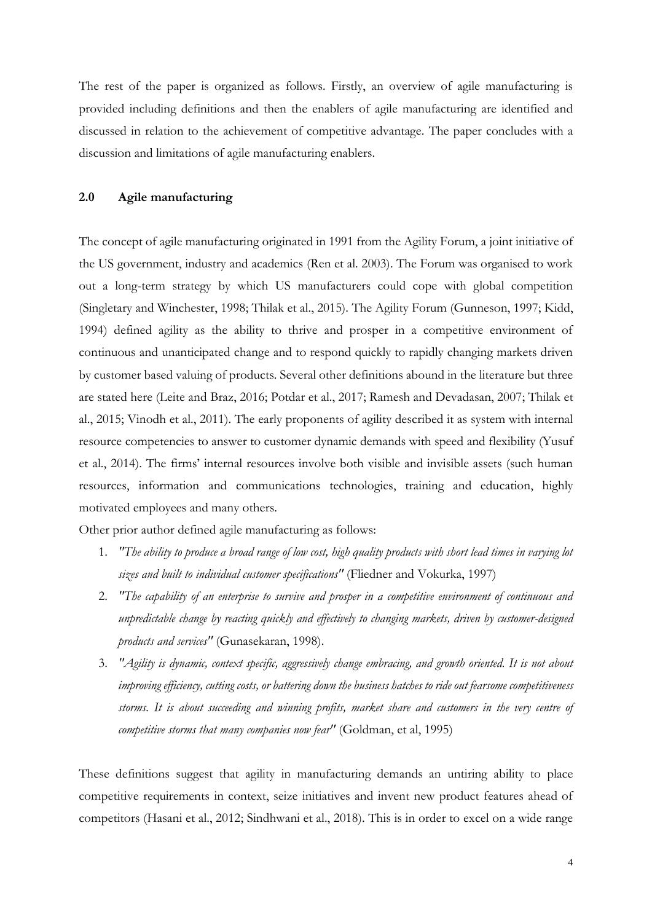The rest of the paper is organized as follows. Firstly, an overview of agile manufacturing is provided including definitions and then the enablers of agile manufacturing are identified and discussed in relation to the achievement of competitive advantage. The paper concludes with a discussion and limitations of agile manufacturing enablers.

#### **2.0 Agile manufacturing**

The concept of agile manufacturing originated in 1991 from the Agility Forum, a joint initiative of the US government, industry and academics (Ren et al. 2003). The Forum was organised to work out a long-term strategy by which US manufacturers could cope with global competition (Singletary and Winchester, 1998; Thilak et al., 2015). The Agility Forum (Gunneson, 1997; Kidd, 1994) defined agility as the ability to thrive and prosper in a competitive environment of continuous and unanticipated change and to respond quickly to rapidly changing markets driven by customer based valuing of products. Several other definitions abound in the literature but three are stated here (Leite and Braz, 2016; Potdar et al., 2017; Ramesh and Devadasan, 2007; Thilak et al., 2015; Vinodh et al., 2011). The early proponents of agility described it as system with internal resource competencies to answer to customer dynamic demands with speed and flexibility (Yusuf et al., 2014). The firms' internal resources involve both visible and invisible assets (such human resources, information and communications technologies, training and education, highly motivated employees and many others.

Other prior author defined agile manufacturing as follows:

- 1. *"The ability to produce a broad range of low cost, high quality products with short lead times in varying lot sizes and built to individual customer specifications"* (Fliedner and Vokurka, 1997)
- 2. *"The capability of an enterprise to survive and prosper in a competitive environment of continuous and unpredictable change by reacting quickly and effectively to changing markets, driven by customer-designed products and services"* (Gunasekaran, 1998).
- 3. *"Agility is dynamic, context specific, aggressively change embracing, and growth oriented. It is not about improving efficiency, cutting costs, or battering down the business hatches to ride out fearsome competitiveness storms. It is about succeeding and winning profits, market share and customers in the very centre of competitive storms that many companies now fear"* (Goldman, et al, 1995)

These definitions suggest that agility in manufacturing demands an untiring ability to place competitive requirements in context, seize initiatives and invent new product features ahead of competitors (Hasani et al., 2012; Sindhwani et al., 2018). This is in order to excel on a wide range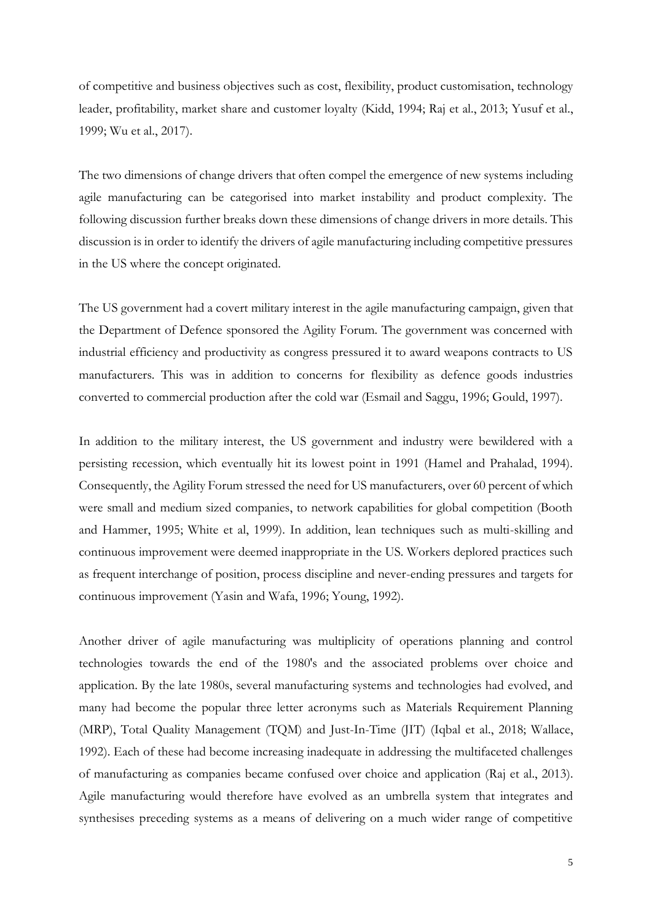of competitive and business objectives such as cost, flexibility, product customisation, technology leader, profitability, market share and customer loyalty (Kidd, 1994; Raj et al., 2013; Yusuf et al., 1999; Wu et al., 2017).

The two dimensions of change drivers that often compel the emergence of new systems including agile manufacturing can be categorised into market instability and product complexity. The following discussion further breaks down these dimensions of change drivers in more details. This discussion is in order to identify the drivers of agile manufacturing including competitive pressures in the US where the concept originated.

The US government had a covert military interest in the agile manufacturing campaign, given that the Department of Defence sponsored the Agility Forum. The government was concerned with industrial efficiency and productivity as congress pressured it to award weapons contracts to US manufacturers. This was in addition to concerns for flexibility as defence goods industries converted to commercial production after the cold war (Esmail and Saggu, 1996; Gould, 1997).

In addition to the military interest, the US government and industry were bewildered with a persisting recession, which eventually hit its lowest point in 1991 (Hamel and Prahalad, 1994). Consequently, the Agility Forum stressed the need for US manufacturers, over 60 percent of which were small and medium sized companies, to network capabilities for global competition (Booth and Hammer, 1995; White et al, 1999). In addition, lean techniques such as multi-skilling and continuous improvement were deemed inappropriate in the US. Workers deplored practices such as frequent interchange of position, process discipline and never-ending pressures and targets for continuous improvement (Yasin and Wafa, 1996; Young, 1992).

Another driver of agile manufacturing was multiplicity of operations planning and control technologies towards the end of the 1980's and the associated problems over choice and application. By the late 1980s, several manufacturing systems and technologies had evolved, and many had become the popular three letter acronyms such as Materials Requirement Planning (MRP), Total Quality Management (TQM) and Just-In-Time (JIT) (Iqbal et al., 2018; Wallace, 1992). Each of these had become increasing inadequate in addressing the multifaceted challenges of manufacturing as companies became confused over choice and application (Raj et al., 2013). Agile manufacturing would therefore have evolved as an umbrella system that integrates and synthesises preceding systems as a means of delivering on a much wider range of competitive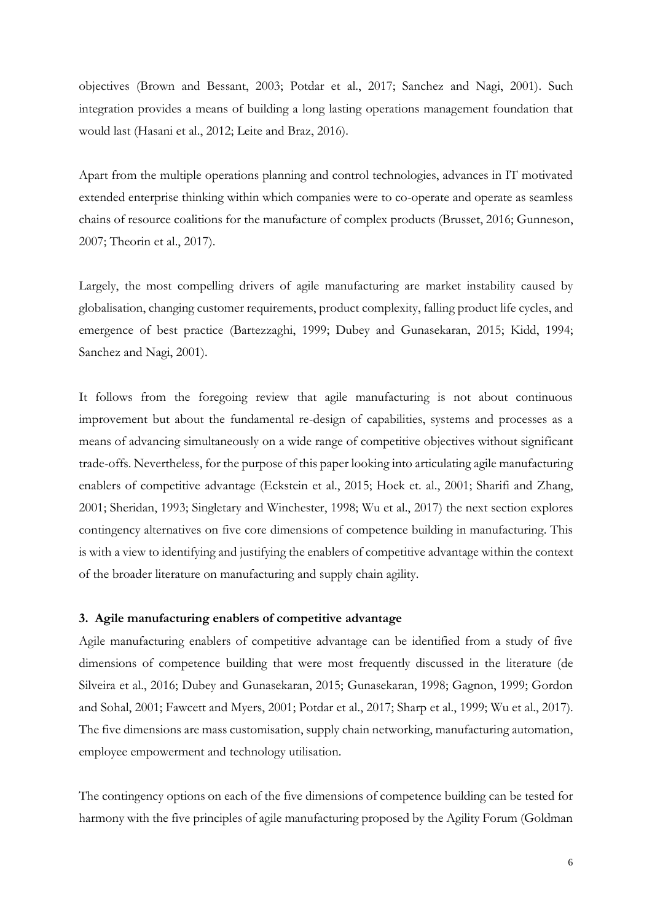objectives (Brown and Bessant, 2003; Potdar et al., 2017; Sanchez and Nagi, 2001). Such integration provides a means of building a long lasting operations management foundation that would last (Hasani et al., 2012; Leite and Braz, 2016).

Apart from the multiple operations planning and control technologies, advances in IT motivated extended enterprise thinking within which companies were to co-operate and operate as seamless chains of resource coalitions for the manufacture of complex products (Brusset, 2016; Gunneson, 2007; Theorin et al., 2017).

Largely, the most compelling drivers of agile manufacturing are market instability caused by globalisation, changing customer requirements, product complexity, falling product life cycles, and emergence of best practice (Bartezzaghi, 1999; Dubey and Gunasekaran, 2015; Kidd, 1994; Sanchez and Nagi, 2001).

It follows from the foregoing review that agile manufacturing is not about continuous improvement but about the fundamental re-design of capabilities, systems and processes as a means of advancing simultaneously on a wide range of competitive objectives without significant trade-offs. Nevertheless, for the purpose of this paper looking into articulating agile manufacturing enablers of competitive advantage (Eckstein et al., 2015; Hoek et. al., 2001; Sharifi and Zhang, 2001; Sheridan, 1993; Singletary and Winchester, 1998; Wu et al., 2017) the next section explores contingency alternatives on five core dimensions of competence building in manufacturing. This is with a view to identifying and justifying the enablers of competitive advantage within the context of the broader literature on manufacturing and supply chain agility.

#### **3. Agile manufacturing enablers of competitive advantage**

Agile manufacturing enablers of competitive advantage can be identified from a study of five dimensions of competence building that were most frequently discussed in the literature (de Silveira et al., 2016; Dubey and Gunasekaran, 2015; Gunasekaran, 1998; Gagnon, 1999; Gordon and Sohal, 2001; Fawcett and Myers, 2001; Potdar et al., 2017; Sharp et al., 1999; Wu et al., 2017). The five dimensions are mass customisation, supply chain networking, manufacturing automation, employee empowerment and technology utilisation.

The contingency options on each of the five dimensions of competence building can be tested for harmony with the five principles of agile manufacturing proposed by the Agility Forum (Goldman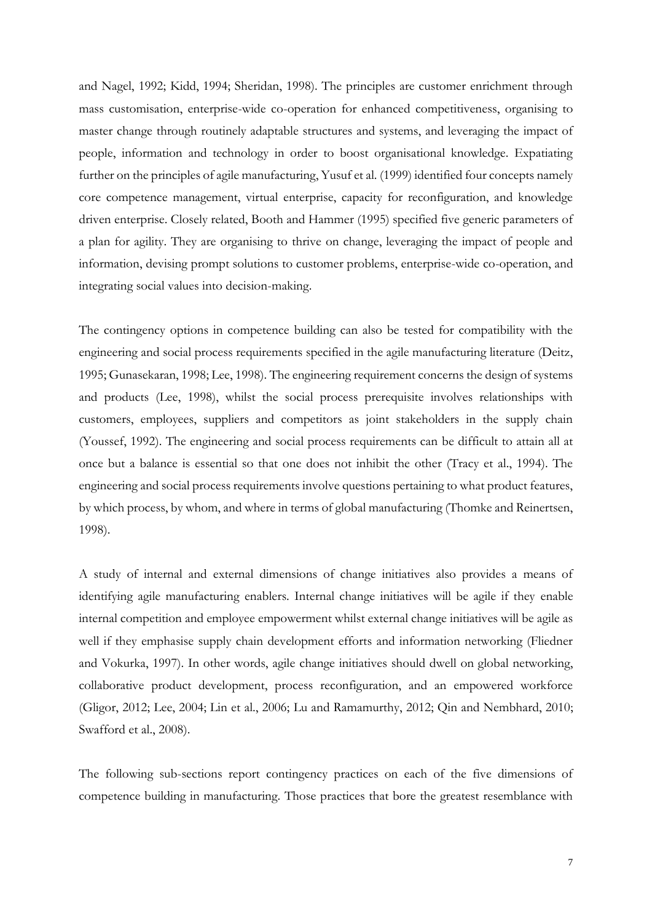and Nagel, 1992; Kidd, 1994; Sheridan, 1998). The principles are customer enrichment through mass customisation, enterprise-wide co-operation for enhanced competitiveness, organising to master change through routinely adaptable structures and systems, and leveraging the impact of people, information and technology in order to boost organisational knowledge. Expatiating further on the principles of agile manufacturing, Yusuf et al. (1999) identified four concepts namely core competence management, virtual enterprise, capacity for reconfiguration, and knowledge driven enterprise. Closely related, Booth and Hammer (1995) specified five generic parameters of a plan for agility. They are organising to thrive on change, leveraging the impact of people and information, devising prompt solutions to customer problems, enterprise-wide co-operation, and integrating social values into decision-making.

The contingency options in competence building can also be tested for compatibility with the engineering and social process requirements specified in the agile manufacturing literature (Deitz, 1995; Gunasekaran, 1998; Lee, 1998). The engineering requirement concerns the design of systems and products (Lee, 1998), whilst the social process prerequisite involves relationships with customers, employees, suppliers and competitors as joint stakeholders in the supply chain (Youssef, 1992). The engineering and social process requirements can be difficult to attain all at once but a balance is essential so that one does not inhibit the other (Tracy et al., 1994). The engineering and social process requirements involve questions pertaining to what product features, by which process, by whom, and where in terms of global manufacturing (Thomke and Reinertsen, 1998).

A study of internal and external dimensions of change initiatives also provides a means of identifying agile manufacturing enablers. Internal change initiatives will be agile if they enable internal competition and employee empowerment whilst external change initiatives will be agile as well if they emphasise supply chain development efforts and information networking (Fliedner and Vokurka, 1997). In other words, agile change initiatives should dwell on global networking, collaborative product development, process reconfiguration, and an empowered workforce (Gligor, 2012; Lee, 2004; Lin et al., 2006; Lu and Ramamurthy, 2012; Qin and Nembhard, 2010; Swafford et al., 2008).

The following sub-sections report contingency practices on each of the five dimensions of competence building in manufacturing. Those practices that bore the greatest resemblance with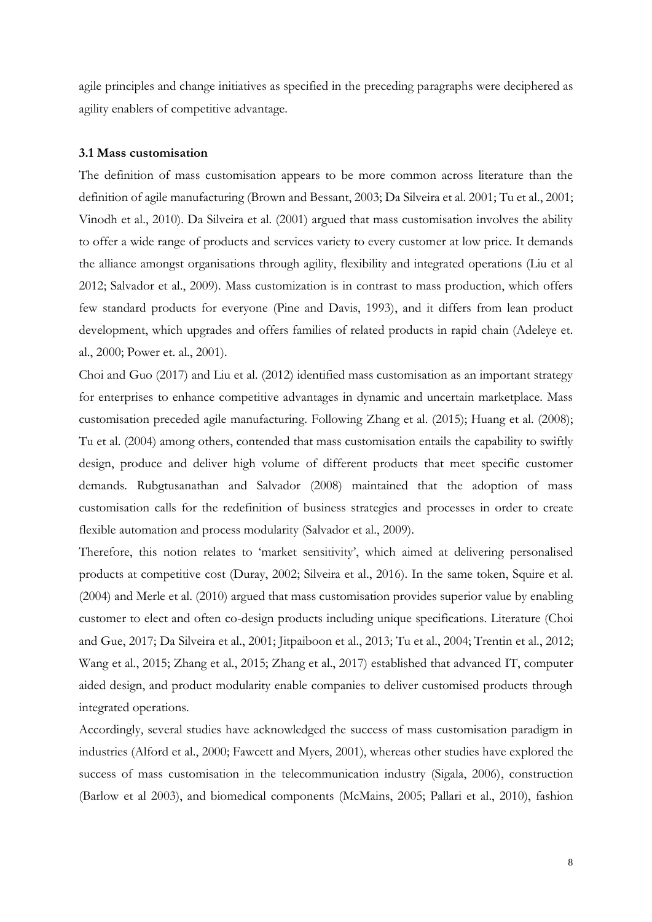agile principles and change initiatives as specified in the preceding paragraphs were deciphered as agility enablers of competitive advantage.

#### **3.1 Mass customisation**

The definition of mass customisation appears to be more common across literature than the definition of agile manufacturing (Brown and Bessant, 2003; Da Silveira et al. 2001; Tu et al., 2001; Vinodh et al., 2010). Da Silveira et al. (2001) argued that mass customisation involves the ability to offer a wide range of products and services variety to every customer at low price. It demands the alliance amongst organisations through agility, flexibility and integrated operations (Liu et al 2012; Salvador et al., 2009). Mass customization is in contrast to mass production, which offers few standard products for everyone (Pine and Davis, 1993), and it differs from lean product development, which upgrades and offers families of related products in rapid chain (Adeleye et. al., 2000; Power et. al., 2001).

Choi and Guo (2017) and Liu et al. (2012) identified mass customisation as an important strategy for enterprises to enhance competitive advantages in dynamic and uncertain marketplace. Mass customisation preceded agile manufacturing. Following Zhang et al. (2015); Huang et al. (2008); Tu et al. (2004) among others, contended that mass customisation entails the capability to swiftly design, produce and deliver high volume of different products that meet specific customer demands. Rubgtusanathan and Salvador (2008) maintained that the adoption of mass customisation calls for the redefinition of business strategies and processes in order to create flexible automation and process modularity (Salvador et al., 2009).

Therefore, this notion relates to 'market sensitivity', which aimed at delivering personalised products at competitive cost (Duray, 2002; Silveira et al., 2016). In the same token, Squire et al. (2004) and Merle et al. (2010) argued that mass customisation provides superior value by enabling customer to elect and often co-design products including unique specifications. Literature (Choi and Gue, 2017; Da Silveira et al., 2001; Jitpaiboon et al., 2013; Tu et al., 2004; Trentin et al., 2012; Wang et al., 2015; Zhang et al., 2015; Zhang et al., 2017) established that advanced IT, computer aided design, and product modularity enable companies to deliver customised products through integrated operations.

Accordingly, several studies have acknowledged the success of mass customisation paradigm in industries (Alford et al., 2000; Fawcett and Myers, 2001), whereas other studies have explored the success of mass customisation in the telecommunication industry (Sigala, 2006), construction (Barlow et al 2003), and biomedical components (McMains, 2005; Pallari et al., 2010), fashion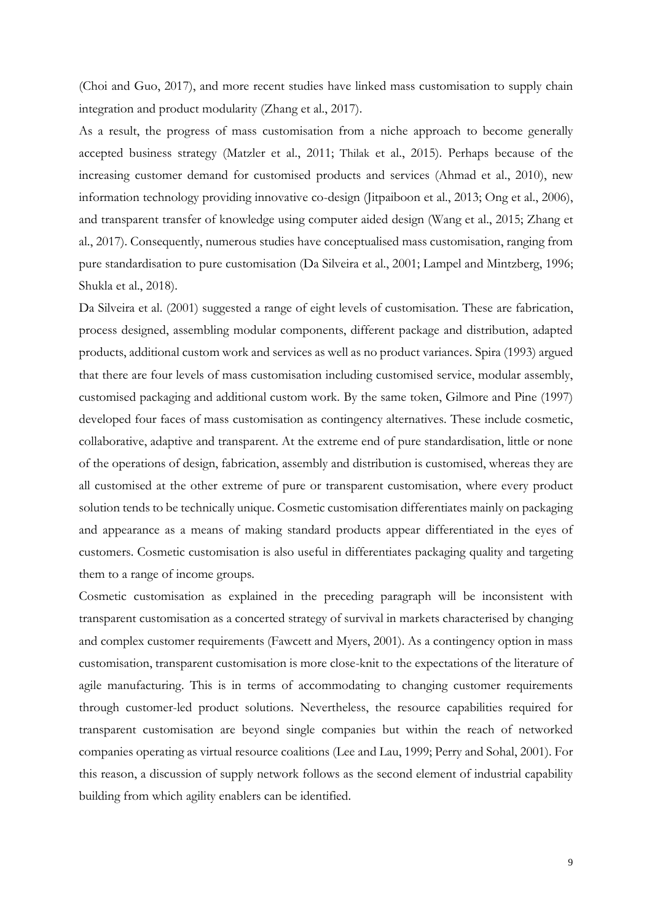(Choi and Guo, 2017), and more recent studies have linked mass customisation to supply chain integration and product modularity (Zhang et al., 2017).

As a result, the progress of mass customisation from a niche approach to become generally accepted business strategy (Matzler et al., 2011; Thilak et al., 2015). Perhaps because of the increasing customer demand for customised products and services (Ahmad et al., 2010), new information technology providing innovative co-design (Jitpaiboon et al., 2013; Ong et al., 2006), and transparent transfer of knowledge using computer aided design (Wang et al., 2015; Zhang et al., 2017). Consequently, numerous studies have conceptualised mass customisation, ranging from pure standardisation to pure customisation (Da Silveira et al., 2001; Lampel and Mintzberg, 1996; Shukla et al., 2018).

Da Silveira et al. (2001) suggested a range of eight levels of customisation. These are fabrication, process designed, assembling modular components, different package and distribution, adapted products, additional custom work and services as well as no product variances. Spira (1993) argued that there are four levels of mass customisation including customised service, modular assembly, customised packaging and additional custom work. By the same token, Gilmore and Pine (1997) developed four faces of mass customisation as contingency alternatives. These include cosmetic, collaborative, adaptive and transparent. At the extreme end of pure standardisation, little or none of the operations of design, fabrication, assembly and distribution is customised, whereas they are all customised at the other extreme of pure or transparent customisation, where every product solution tends to be technically unique. Cosmetic customisation differentiates mainly on packaging and appearance as a means of making standard products appear differentiated in the eyes of customers. Cosmetic customisation is also useful in differentiates packaging quality and targeting them to a range of income groups.

Cosmetic customisation as explained in the preceding paragraph will be inconsistent with transparent customisation as a concerted strategy of survival in markets characterised by changing and complex customer requirements (Fawcett and Myers, 2001). As a contingency option in mass customisation, transparent customisation is more close-knit to the expectations of the literature of agile manufacturing. This is in terms of accommodating to changing customer requirements through customer-led product solutions. Nevertheless, the resource capabilities required for transparent customisation are beyond single companies but within the reach of networked companies operating as virtual resource coalitions (Lee and Lau, 1999; Perry and Sohal, 2001). For this reason, a discussion of supply network follows as the second element of industrial capability building from which agility enablers can be identified.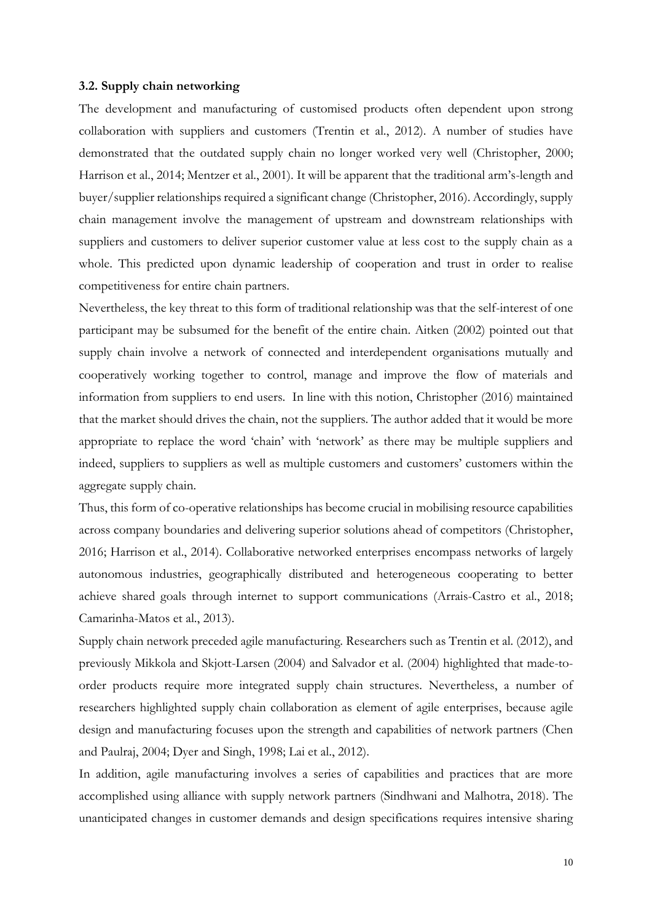#### **3.2. Supply chain networking**

The development and manufacturing of customised products often dependent upon strong collaboration with suppliers and customers (Trentin et al., 2012). A number of studies have demonstrated that the outdated supply chain no longer worked very well (Christopher, 2000; Harrison et al., 2014; Mentzer et al., 2001). It will be apparent that the traditional arm's-length and buyer/supplier relationships required a significant change (Christopher, 2016). Accordingly, supply chain management involve the management of upstream and downstream relationships with suppliers and customers to deliver superior customer value at less cost to the supply chain as a whole. This predicted upon dynamic leadership of cooperation and trust in order to realise competitiveness for entire chain partners.

Nevertheless, the key threat to this form of traditional relationship was that the self-interest of one participant may be subsumed for the benefit of the entire chain. Aitken (2002) pointed out that supply chain involve a network of connected and interdependent organisations mutually and cooperatively working together to control, manage and improve the flow of materials and information from suppliers to end users. In line with this notion, Christopher (2016) maintained that the market should drives the chain, not the suppliers. The author added that it would be more appropriate to replace the word 'chain' with 'network' as there may be multiple suppliers and indeed, suppliers to suppliers as well as multiple customers and customers' customers within the aggregate supply chain.

Thus, this form of co-operative relationships has become crucial in mobilising resource capabilities across company boundaries and delivering superior solutions ahead of competitors (Christopher, 2016; Harrison et al., 2014). Collaborative networked enterprises encompass networks of largely autonomous industries, geographically distributed and heterogeneous cooperating to better achieve shared goals through internet to support communications (Arrais-Castro et al., 2018; Camarinha-Matos et al., 2013).

Supply chain network preceded agile manufacturing. Researchers such as Trentin et al. (2012), and previously Mikkola and Skjott-Larsen (2004) and Salvador et al. (2004) highlighted that made-toorder products require more integrated supply chain structures. Nevertheless, a number of researchers highlighted supply chain collaboration as element of agile enterprises, because agile design and manufacturing focuses upon the strength and capabilities of network partners (Chen and Paulraj, 2004; Dyer and Singh, 1998; Lai et al., 2012).

In addition, agile manufacturing involves a series of capabilities and practices that are more accomplished using alliance with supply network partners (Sindhwani and Malhotra, 2018). The unanticipated changes in customer demands and design specifications requires intensive sharing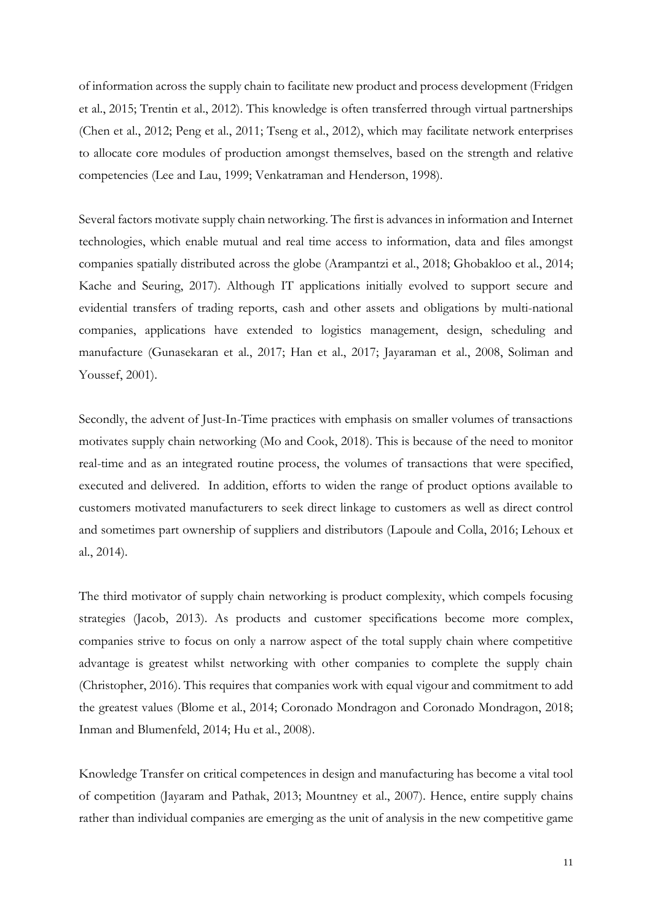of information across the supply chain to facilitate new product and process development (Fridgen et al., 2015; Trentin et al., 2012). This knowledge is often transferred through virtual partnerships (Chen et al., 2012; Peng et al., 2011; Tseng et al., 2012), which may facilitate network enterprises to allocate core modules of production amongst themselves, based on the strength and relative competencies (Lee and Lau, 1999; Venkatraman and Henderson, 1998).

Several factors motivate supply chain networking. The first is advances in information and Internet technologies, which enable mutual and real time access to information, data and files amongst companies spatially distributed across the globe (Arampantzi et al., 2018; Ghobakloo et al., 2014; Kache and Seuring, 2017). Although IT applications initially evolved to support secure and evidential transfers of trading reports, cash and other assets and obligations by multi-national companies, applications have extended to logistics management, design, scheduling and manufacture (Gunasekaran et al., 2017; Han et al., 2017; Jayaraman et al., 2008, Soliman and Youssef, 2001).

Secondly, the advent of Just-In-Time practices with emphasis on smaller volumes of transactions motivates supply chain networking (Mo and Cook, 2018). This is because of the need to monitor real-time and as an integrated routine process, the volumes of transactions that were specified, executed and delivered. In addition, efforts to widen the range of product options available to customers motivated manufacturers to seek direct linkage to customers as well as direct control and sometimes part ownership of suppliers and distributors (Lapoule and Colla, 2016; Lehoux et al., 2014).

The third motivator of supply chain networking is product complexity, which compels focusing strategies (Jacob, 2013). As products and customer specifications become more complex, companies strive to focus on only a narrow aspect of the total supply chain where competitive advantage is greatest whilst networking with other companies to complete the supply chain (Christopher, 2016). This requires that companies work with equal vigour and commitment to add the greatest values (Blome et al., 2014; Coronado Mondragon and Coronado Mondragon, 2018; Inman and Blumenfeld, 2014; Hu et al., 2008).

Knowledge Transfer on critical competences in design and manufacturing has become a vital tool of competition (Jayaram and Pathak, 2013; Mountney et al., 2007). Hence, entire supply chains rather than individual companies are emerging as the unit of analysis in the new competitive game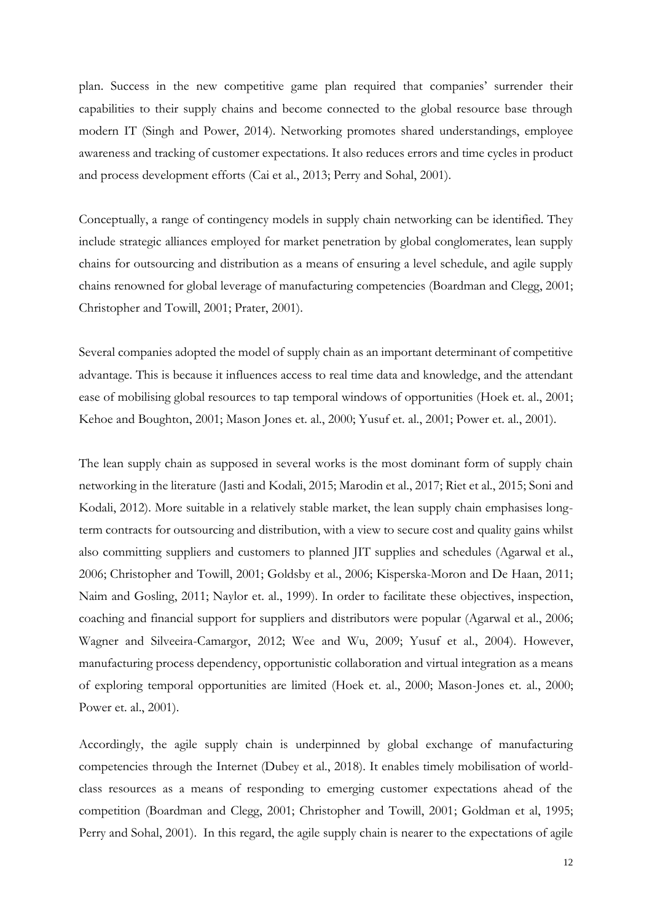plan. Success in the new competitive game plan required that companies' surrender their capabilities to their supply chains and become connected to the global resource base through modern IT (Singh and Power, 2014). Networking promotes shared understandings, employee awareness and tracking of customer expectations. It also reduces errors and time cycles in product and process development efforts (Cai et al., 2013; Perry and Sohal, 2001).

Conceptually, a range of contingency models in supply chain networking can be identified. They include strategic alliances employed for market penetration by global conglomerates, lean supply chains for outsourcing and distribution as a means of ensuring a level schedule, and agile supply chains renowned for global leverage of manufacturing competencies (Boardman and Clegg, 2001; Christopher and Towill, 2001; Prater, 2001).

Several companies adopted the model of supply chain as an important determinant of competitive advantage. This is because it influences access to real time data and knowledge, and the attendant ease of mobilising global resources to tap temporal windows of opportunities (Hoek et. al., 2001; Kehoe and Boughton, 2001; Mason Jones et. al., 2000; Yusuf et. al., 2001; Power et. al., 2001).

The lean supply chain as supposed in several works is the most dominant form of supply chain networking in the literature (Jasti and Kodali, 2015; Marodin et al., 2017; Riet et al., 2015; Soni and Kodali, 2012). More suitable in a relatively stable market, the lean supply chain emphasises longterm contracts for outsourcing and distribution, with a view to secure cost and quality gains whilst also committing suppliers and customers to planned JIT supplies and schedules (Agarwal et al., 2006; Christopher and Towill, 2001; Goldsby et al., 2006; Kisperska-Moron and De Haan, 2011; Naim and Gosling, 2011; Naylor et. al., 1999). In order to facilitate these objectives, inspection, coaching and financial support for suppliers and distributors were popular (Agarwal et al., 2006; Wagner and Silveeira-Camargor, 2012; Wee and Wu, 2009; Yusuf et al., 2004). However, manufacturing process dependency, opportunistic collaboration and virtual integration as a means of exploring temporal opportunities are limited (Hoek et. al., 2000; Mason-Jones et. al., 2000; Power et. al., 2001).

Accordingly, the agile supply chain is underpinned by global exchange of manufacturing competencies through the Internet (Dubey et al., 2018). It enables timely mobilisation of worldclass resources as a means of responding to emerging customer expectations ahead of the competition (Boardman and Clegg, 2001; Christopher and Towill, 2001; Goldman et al, 1995; Perry and Sohal, 2001). In this regard, the agile supply chain is nearer to the expectations of agile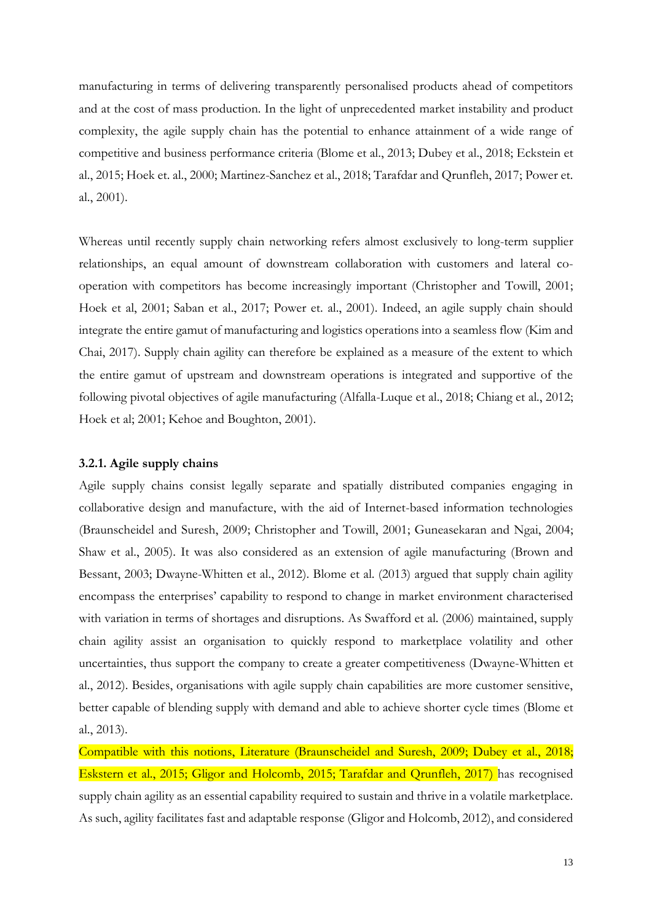manufacturing in terms of delivering transparently personalised products ahead of competitors and at the cost of mass production. In the light of unprecedented market instability and product complexity, the agile supply chain has the potential to enhance attainment of a wide range of competitive and business performance criteria (Blome et al., 2013; Dubey et al., 2018; Eckstein et al., 2015; Hoek et. al., 2000; Martinez-Sanchez et al., 2018; Tarafdar and Qrunfleh, 2017; Power et. al., 2001).

Whereas until recently supply chain networking refers almost exclusively to long-term supplier relationships, an equal amount of downstream collaboration with customers and lateral cooperation with competitors has become increasingly important (Christopher and Towill, 2001; Hoek et al, 2001; Saban et al., 2017; Power et. al., 2001). Indeed, an agile supply chain should integrate the entire gamut of manufacturing and logistics operations into a seamless flow (Kim and Chai, 2017). Supply chain agility can therefore be explained as a measure of the extent to which the entire gamut of upstream and downstream operations is integrated and supportive of the following pivotal objectives of agile manufacturing (Alfalla-Luque et al., 2018; Chiang et al., 2012; Hoek et al; 2001; Kehoe and Boughton, 2001).

#### **3.2.1. Agile supply chains**

Agile supply chains consist legally separate and spatially distributed companies engaging in collaborative design and manufacture, with the aid of Internet-based information technologies (Braunscheidel and Suresh, 2009; Christopher and Towill, 2001; Guneasekaran and Ngai, 2004; Shaw et al., 2005). It was also considered as an extension of agile manufacturing (Brown and Bessant, 2003; Dwayne-Whitten et al., 2012). Blome et al. (2013) argued that supply chain agility encompass the enterprises' capability to respond to change in market environment characterised with variation in terms of shortages and disruptions. As Swafford et al. (2006) maintained, supply chain agility assist an organisation to quickly respond to marketplace volatility and other uncertainties, thus support the company to create a greater competitiveness (Dwayne-Whitten et al., 2012). Besides, organisations with agile supply chain capabilities are more customer sensitive, better capable of blending supply with demand and able to achieve shorter cycle times (Blome et al., 2013).

Compatible with this notions, Literature (Braunscheidel and Suresh, 2009; Dubey et al., 2018; Eskstern et al., 2015; Gligor and Holcomb, 2015; Tarafdar and Qrunfleh, 2017) has recognised supply chain agility as an essential capability required to sustain and thrive in a volatile marketplace. As such, agility facilitates fast and adaptable response (Gligor and Holcomb, 2012), and considered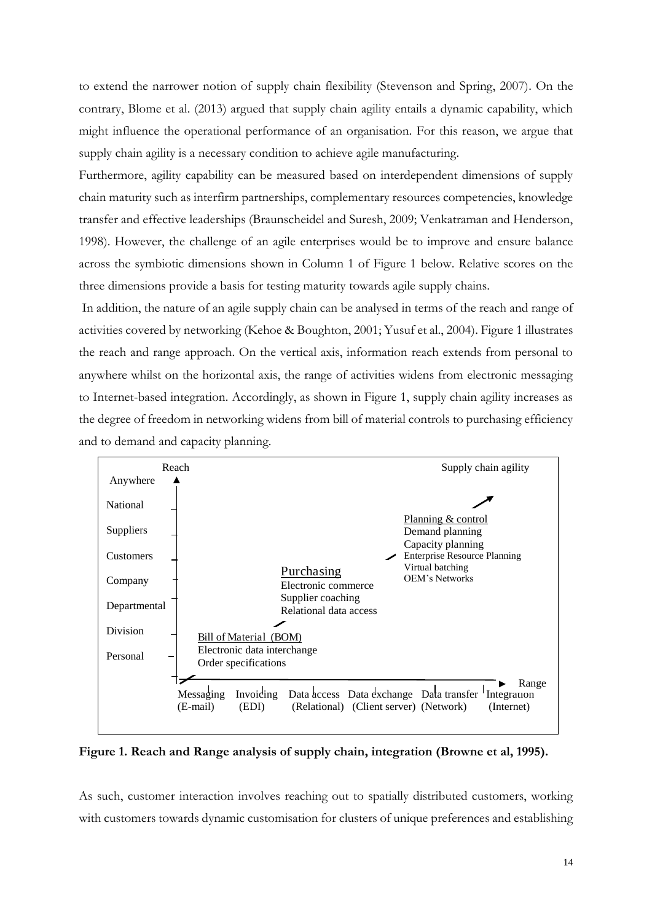to extend the narrower notion of supply chain flexibility (Stevenson and Spring, 2007). On the contrary, Blome et al. (2013) argued that supply chain agility entails a dynamic capability, which might influence the operational performance of an organisation. For this reason, we argue that supply chain agility is a necessary condition to achieve agile manufacturing.

Furthermore, agility capability can be measured based on interdependent dimensions of supply chain maturity such as interfirm partnerships, complementary resources competencies, knowledge transfer and effective leaderships (Braunscheidel and Suresh, 2009; Venkatraman and Henderson, 1998). However, the challenge of an agile enterprises would be to improve and ensure balance across the symbiotic dimensions shown in Column 1 of Figure 1 below. Relative scores on the three dimensions provide a basis for testing maturity towards agile supply chains.

 In addition, the nature of an agile supply chain can be analysed in terms of the reach and range of activities covered by networking (Kehoe & Boughton, 2001; Yusuf et al., 2004). Figure 1 illustrates the reach and range approach. On the vertical axis, information reach extends from personal to anywhere whilst on the horizontal axis, the range of activities widens from electronic messaging to Internet-based integration. Accordingly, as shown in Figure 1, supply chain agility increases as the degree of freedom in networking widens from bill of material controls to purchasing efficiency and to demand and capacity planning.



**Figure 1. Reach and Range analysis of supply chain, integration (Browne et al, 1995).** 

As such, customer interaction involves reaching out to spatially distributed customers, working with customers towards dynamic customisation for clusters of unique preferences and establishing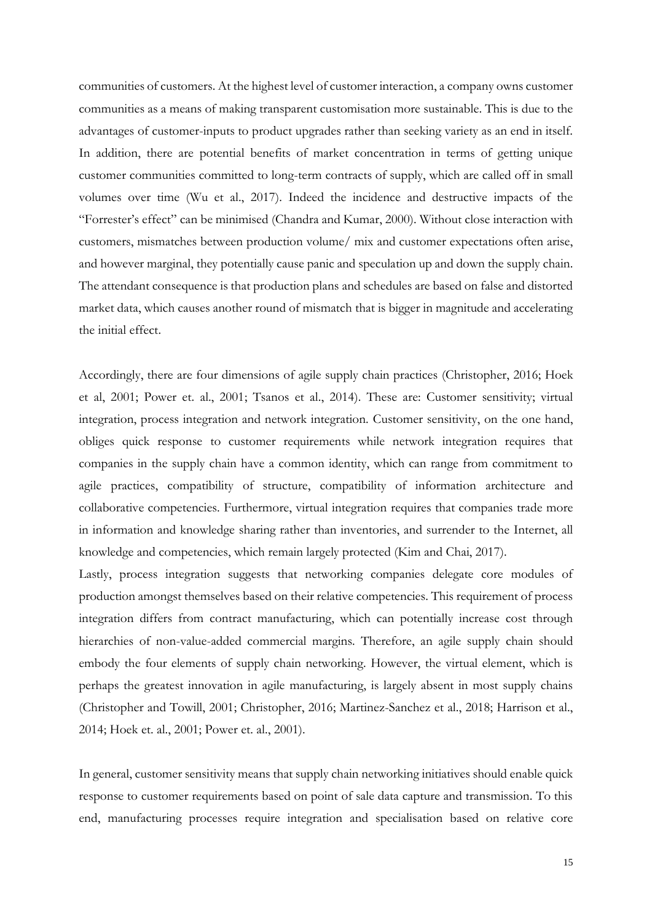communities of customers. At the highest level of customer interaction, a company owns customer communities as a means of making transparent customisation more sustainable. This is due to the advantages of customer-inputs to product upgrades rather than seeking variety as an end in itself. In addition, there are potential benefits of market concentration in terms of getting unique customer communities committed to long-term contracts of supply, which are called off in small volumes over time (Wu et al., 2017). Indeed the incidence and destructive impacts of the "Forrester's effect" can be minimised (Chandra and Kumar, 2000). Without close interaction with customers, mismatches between production volume/ mix and customer expectations often arise, and however marginal, they potentially cause panic and speculation up and down the supply chain. The attendant consequence is that production plans and schedules are based on false and distorted market data, which causes another round of mismatch that is bigger in magnitude and accelerating the initial effect.

Accordingly, there are four dimensions of agile supply chain practices (Christopher, 2016; Hoek et al, 2001; Power et. al., 2001; Tsanos et al., 2014). These are: Customer sensitivity; virtual integration, process integration and network integration. Customer sensitivity, on the one hand, obliges quick response to customer requirements while network integration requires that companies in the supply chain have a common identity, which can range from commitment to agile practices, compatibility of structure, compatibility of information architecture and collaborative competencies. Furthermore, virtual integration requires that companies trade more in information and knowledge sharing rather than inventories, and surrender to the Internet, all knowledge and competencies, which remain largely protected (Kim and Chai, 2017).

Lastly, process integration suggests that networking companies delegate core modules of production amongst themselves based on their relative competencies. This requirement of process integration differs from contract manufacturing, which can potentially increase cost through hierarchies of non-value-added commercial margins. Therefore, an agile supply chain should embody the four elements of supply chain networking. However, the virtual element, which is perhaps the greatest innovation in agile manufacturing, is largely absent in most supply chains (Christopher and Towill, 2001; Christopher, 2016; Martinez-Sanchez et al., 2018; Harrison et al., 2014; Hoek et. al., 2001; Power et. al., 2001).

In general, customer sensitivity means that supply chain networking initiatives should enable quick response to customer requirements based on point of sale data capture and transmission. To this end, manufacturing processes require integration and specialisation based on relative core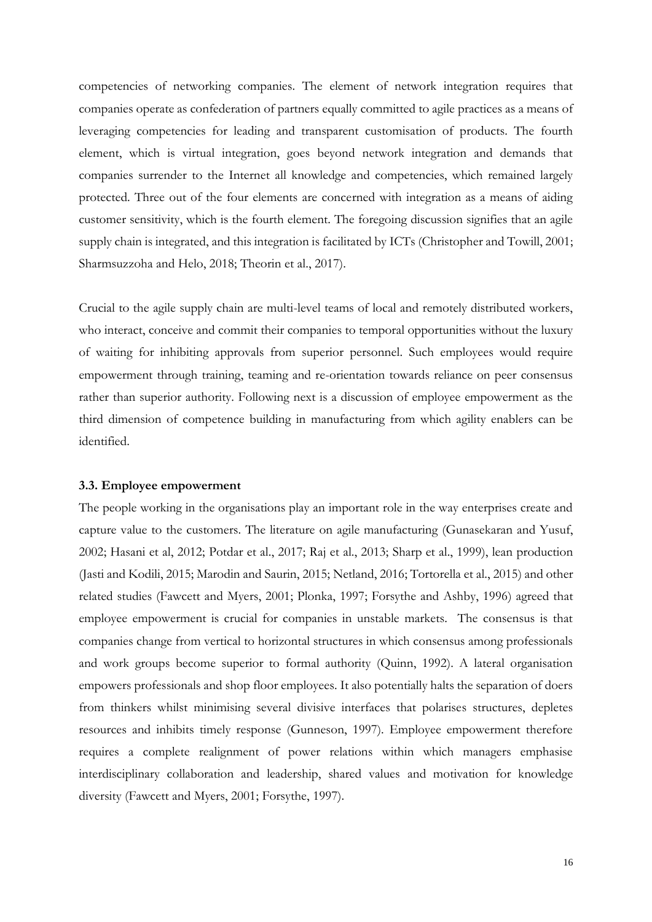competencies of networking companies. The element of network integration requires that companies operate as confederation of partners equally committed to agile practices as a means of leveraging competencies for leading and transparent customisation of products. The fourth element, which is virtual integration, goes beyond network integration and demands that companies surrender to the Internet all knowledge and competencies, which remained largely protected. Three out of the four elements are concerned with integration as a means of aiding customer sensitivity, which is the fourth element. The foregoing discussion signifies that an agile supply chain is integrated, and this integration is facilitated by ICTs (Christopher and Towill, 2001; Sharmsuzzoha and Helo, 2018; Theorin et al., 2017).

Crucial to the agile supply chain are multi-level teams of local and remotely distributed workers, who interact, conceive and commit their companies to temporal opportunities without the luxury of waiting for inhibiting approvals from superior personnel. Such employees would require empowerment through training, teaming and re-orientation towards reliance on peer consensus rather than superior authority. Following next is a discussion of employee empowerment as the third dimension of competence building in manufacturing from which agility enablers can be identified.

#### **3.3. Employee empowerment**

The people working in the organisations play an important role in the way enterprises create and capture value to the customers. The literature on agile manufacturing (Gunasekaran and Yusuf, 2002; Hasani et al, 2012; Potdar et al., 2017; Raj et al., 2013; Sharp et al., 1999), lean production (Jasti and Kodili, 2015; Marodin and Saurin, 2015; Netland, 2016; Tortorella et al., 2015) and other related studies (Fawcett and Myers, 2001; Plonka, 1997; Forsythe and Ashby, 1996) agreed that employee empowerment is crucial for companies in unstable markets. The consensus is that companies change from vertical to horizontal structures in which consensus among professionals and work groups become superior to formal authority (Quinn, 1992). A lateral organisation empowers professionals and shop floor employees. It also potentially halts the separation of doers from thinkers whilst minimising several divisive interfaces that polarises structures, depletes resources and inhibits timely response (Gunneson, 1997). Employee empowerment therefore requires a complete realignment of power relations within which managers emphasise interdisciplinary collaboration and leadership, shared values and motivation for knowledge diversity (Fawcett and Myers, 2001; Forsythe, 1997).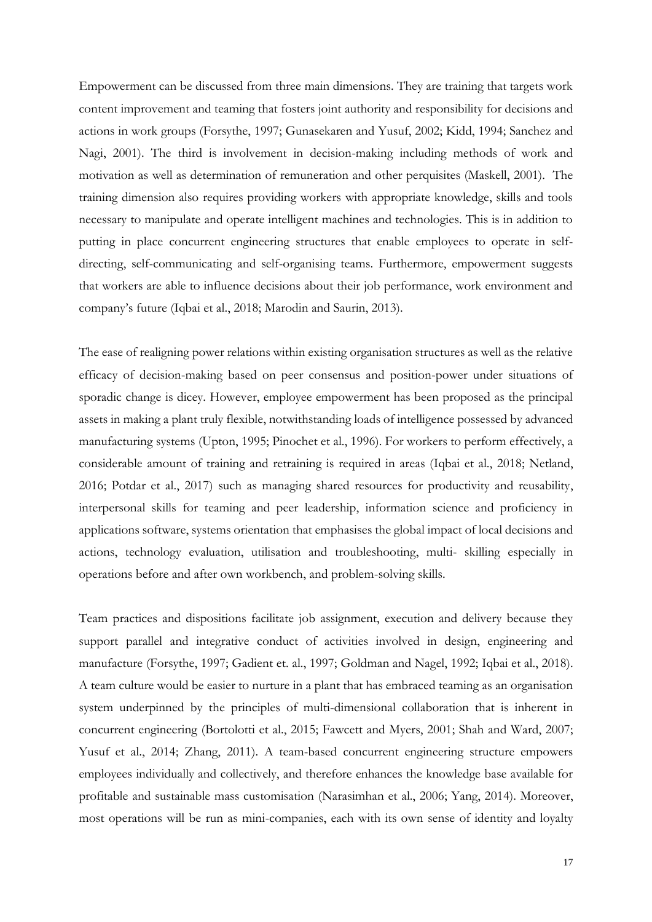Empowerment can be discussed from three main dimensions. They are training that targets work content improvement and teaming that fosters joint authority and responsibility for decisions and actions in work groups (Forsythe, 1997; Gunasekaren and Yusuf, 2002; Kidd, 1994; Sanchez and Nagi, 2001). The third is involvement in decision-making including methods of work and motivation as well as determination of remuneration and other perquisites (Maskell, 2001). The training dimension also requires providing workers with appropriate knowledge, skills and tools necessary to manipulate and operate intelligent machines and technologies. This is in addition to putting in place concurrent engineering structures that enable employees to operate in selfdirecting, self-communicating and self-organising teams. Furthermore, empowerment suggests that workers are able to influence decisions about their job performance, work environment and company's future (Iqbai et al., 2018; Marodin and Saurin, 2013).

The ease of realigning power relations within existing organisation structures as well as the relative efficacy of decision-making based on peer consensus and position-power under situations of sporadic change is dicey. However, employee empowerment has been proposed as the principal assets in making a plant truly flexible, notwithstanding loads of intelligence possessed by advanced manufacturing systems (Upton, 1995; Pinochet et al., 1996). For workers to perform effectively, a considerable amount of training and retraining is required in areas (Iqbai et al., 2018; Netland, 2016; Potdar et al., 2017) such as managing shared resources for productivity and reusability, interpersonal skills for teaming and peer leadership, information science and proficiency in applications software, systems orientation that emphasises the global impact of local decisions and actions, technology evaluation, utilisation and troubleshooting, multi- skilling especially in operations before and after own workbench, and problem-solving skills.

Team practices and dispositions facilitate job assignment, execution and delivery because they support parallel and integrative conduct of activities involved in design, engineering and manufacture (Forsythe, 1997; Gadient et. al., 1997; Goldman and Nagel, 1992; Iqbai et al., 2018). A team culture would be easier to nurture in a plant that has embraced teaming as an organisation system underpinned by the principles of multi-dimensional collaboration that is inherent in concurrent engineering (Bortolotti et al., 2015; Fawcett and Myers, 2001; Shah and Ward, 2007; Yusuf et al., 2014; Zhang, 2011). A team-based concurrent engineering structure empowers employees individually and collectively, and therefore enhances the knowledge base available for profitable and sustainable mass customisation (Narasimhan et al., 2006; Yang, 2014). Moreover, most operations will be run as mini-companies, each with its own sense of identity and loyalty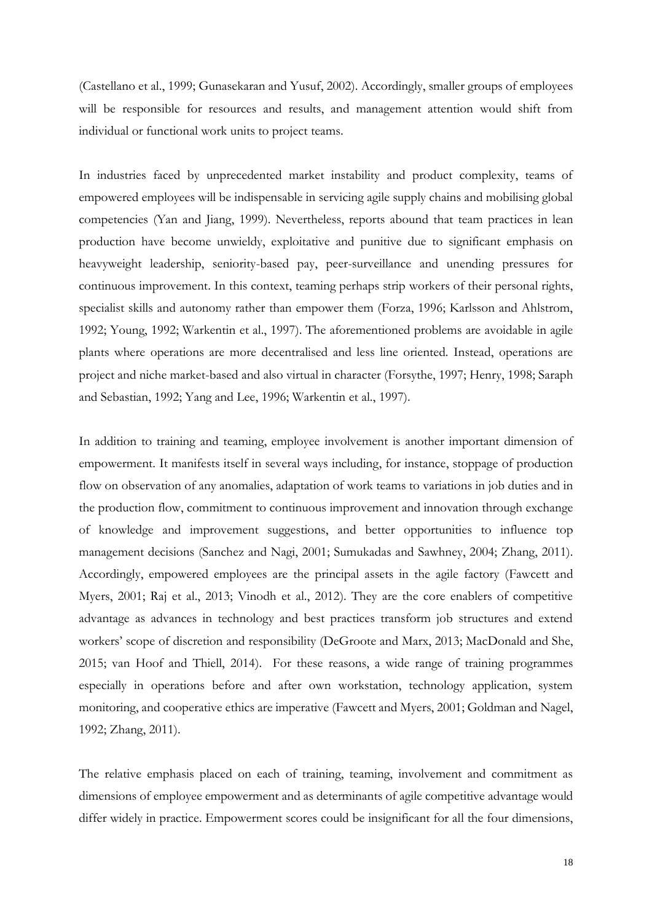(Castellano et al., 1999; Gunasekaran and Yusuf, 2002). Accordingly, smaller groups of employees will be responsible for resources and results, and management attention would shift from individual or functional work units to project teams.

In industries faced by unprecedented market instability and product complexity, teams of empowered employees will be indispensable in servicing agile supply chains and mobilising global competencies (Yan and Jiang, 1999). Nevertheless, reports abound that team practices in lean production have become unwieldy, exploitative and punitive due to significant emphasis on heavyweight leadership, seniority-based pay, peer-surveillance and unending pressures for continuous improvement. In this context, teaming perhaps strip workers of their personal rights, specialist skills and autonomy rather than empower them (Forza, 1996; Karlsson and Ahlstrom, 1992; Young, 1992; Warkentin et al., 1997). The aforementioned problems are avoidable in agile plants where operations are more decentralised and less line oriented. Instead, operations are project and niche market-based and also virtual in character (Forsythe, 1997; Henry, 1998; Saraph and Sebastian, 1992; Yang and Lee, 1996; Warkentin et al., 1997).

In addition to training and teaming, employee involvement is another important dimension of empowerment. It manifests itself in several ways including, for instance, stoppage of production flow on observation of any anomalies, adaptation of work teams to variations in job duties and in the production flow, commitment to continuous improvement and innovation through exchange of knowledge and improvement suggestions, and better opportunities to influence top management decisions (Sanchez and Nagi, 2001; Sumukadas and Sawhney, 2004; Zhang, 2011). Accordingly, empowered employees are the principal assets in the agile factory (Fawcett and Myers, 2001; Raj et al., 2013; Vinodh et al., 2012). They are the core enablers of competitive advantage as advances in technology and best practices transform job structures and extend workers' scope of discretion and responsibility (DeGroote and Marx, 2013; MacDonald and She, 2015; van Hoof and Thiell, 2014). For these reasons, a wide range of training programmes especially in operations before and after own workstation, technology application, system monitoring, and cooperative ethics are imperative (Fawcett and Myers, 2001; Goldman and Nagel, 1992; Zhang, 2011).

The relative emphasis placed on each of training, teaming, involvement and commitment as dimensions of employee empowerment and as determinants of agile competitive advantage would differ widely in practice. Empowerment scores could be insignificant for all the four dimensions,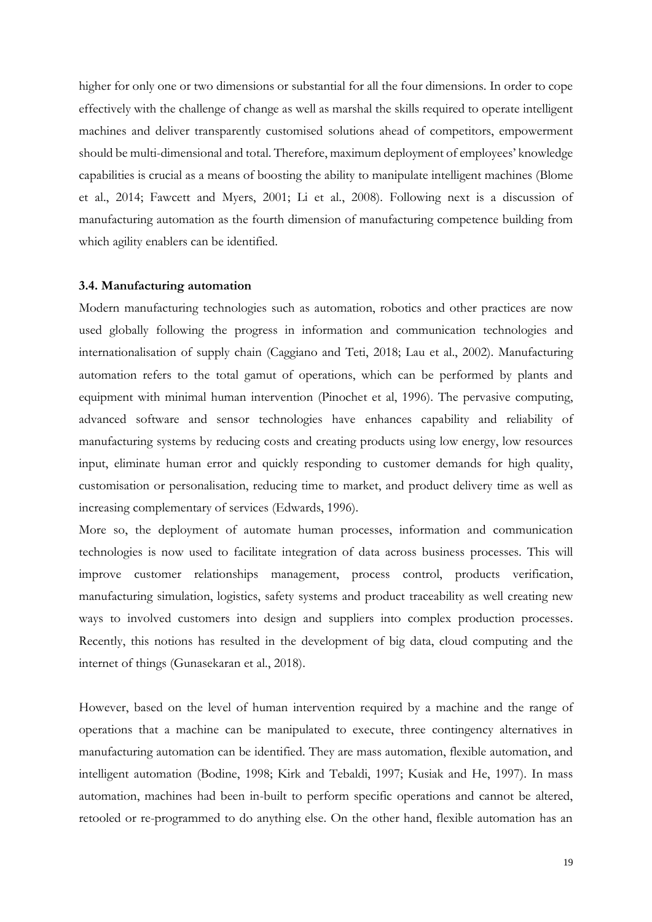higher for only one or two dimensions or substantial for all the four dimensions. In order to cope effectively with the challenge of change as well as marshal the skills required to operate intelligent machines and deliver transparently customised solutions ahead of competitors, empowerment should be multi-dimensional and total. Therefore, maximum deployment of employees' knowledge capabilities is crucial as a means of boosting the ability to manipulate intelligent machines (Blome et al., 2014; Fawcett and Myers, 2001; Li et al., 2008). Following next is a discussion of manufacturing automation as the fourth dimension of manufacturing competence building from which agility enablers can be identified.

#### **3.4. Manufacturing automation**

Modern manufacturing technologies such as automation, robotics and other practices are now used globally following the progress in information and communication technologies and internationalisation of supply chain (Caggiano and Teti, 2018; Lau et al., 2002). Manufacturing automation refers to the total gamut of operations, which can be performed by plants and equipment with minimal human intervention (Pinochet et al, 1996). The pervasive computing, advanced software and sensor technologies have enhances capability and reliability of manufacturing systems by reducing costs and creating products using low energy, low resources input, eliminate human error and quickly responding to customer demands for high quality, customisation or personalisation, reducing time to market, and product delivery time as well as increasing complementary of services (Edwards, 1996).

More so, the deployment of automate human processes, information and communication technologies is now used to facilitate integration of data across business processes. This will improve customer relationships management, process control, products verification, manufacturing simulation, logistics, safety systems and product traceability as well creating new ways to involved customers into design and suppliers into complex production processes. Recently, this notions has resulted in the development of big data, cloud computing and the internet of things (Gunasekaran et al., 2018).

However, based on the level of human intervention required by a machine and the range of operations that a machine can be manipulated to execute, three contingency alternatives in manufacturing automation can be identified. They are mass automation, flexible automation, and intelligent automation (Bodine, 1998; Kirk and Tebaldi, 1997; Kusiak and He, 1997). In mass automation, machines had been in-built to perform specific operations and cannot be altered, retooled or re-programmed to do anything else. On the other hand, flexible automation has an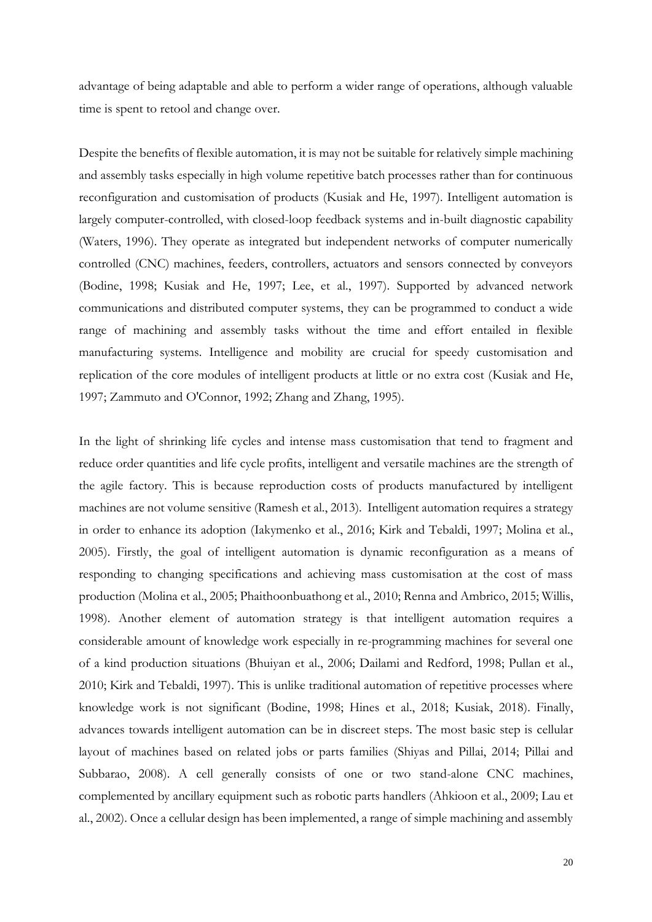advantage of being adaptable and able to perform a wider range of operations, although valuable time is spent to retool and change over.

Despite the benefits of flexible automation, it is may not be suitable for relatively simple machining and assembly tasks especially in high volume repetitive batch processes rather than for continuous reconfiguration and customisation of products (Kusiak and He, 1997). Intelligent automation is largely computer-controlled, with closed-loop feedback systems and in-built diagnostic capability (Waters, 1996). They operate as integrated but independent networks of computer numerically controlled (CNC) machines, feeders, controllers, actuators and sensors connected by conveyors (Bodine, 1998; Kusiak and He, 1997; Lee, et al., 1997). Supported by advanced network communications and distributed computer systems, they can be programmed to conduct a wide range of machining and assembly tasks without the time and effort entailed in flexible manufacturing systems. Intelligence and mobility are crucial for speedy customisation and replication of the core modules of intelligent products at little or no extra cost (Kusiak and He, 1997; Zammuto and O'Connor, 1992; Zhang and Zhang, 1995).

In the light of shrinking life cycles and intense mass customisation that tend to fragment and reduce order quantities and life cycle profits, intelligent and versatile machines are the strength of the agile factory. This is because reproduction costs of products manufactured by intelligent machines are not volume sensitive (Ramesh et al., 2013). Intelligent automation requires a strategy in order to enhance its adoption (Iakymenko et al., 2016; Kirk and Tebaldi, 1997; Molina et al., 2005). Firstly, the goal of intelligent automation is dynamic reconfiguration as a means of responding to changing specifications and achieving mass customisation at the cost of mass production (Molina et al., 2005; Phaithoonbuathong et al., 2010; Renna and Ambrico, 2015; Willis, 1998). Another element of automation strategy is that intelligent automation requires a considerable amount of knowledge work especially in re-programming machines for several one of a kind production situations (Bhuiyan et al., 2006; Dailami and Redford, 1998; Pullan et al., 2010; Kirk and Tebaldi, 1997). This is unlike traditional automation of repetitive processes where knowledge work is not significant (Bodine, 1998; Hines et al., 2018; Kusiak, 2018). Finally, advances towards intelligent automation can be in discreet steps. The most basic step is cellular layout of machines based on related jobs or parts families (Shiyas and Pillai, 2014; Pillai and Subbarao, 2008). A cell generally consists of one or two stand-alone CNC machines, complemented by ancillary equipment such as robotic parts handlers (Ahkioon et al., 2009; Lau et al., 2002). Once a cellular design has been implemented, a range of simple machining and assembly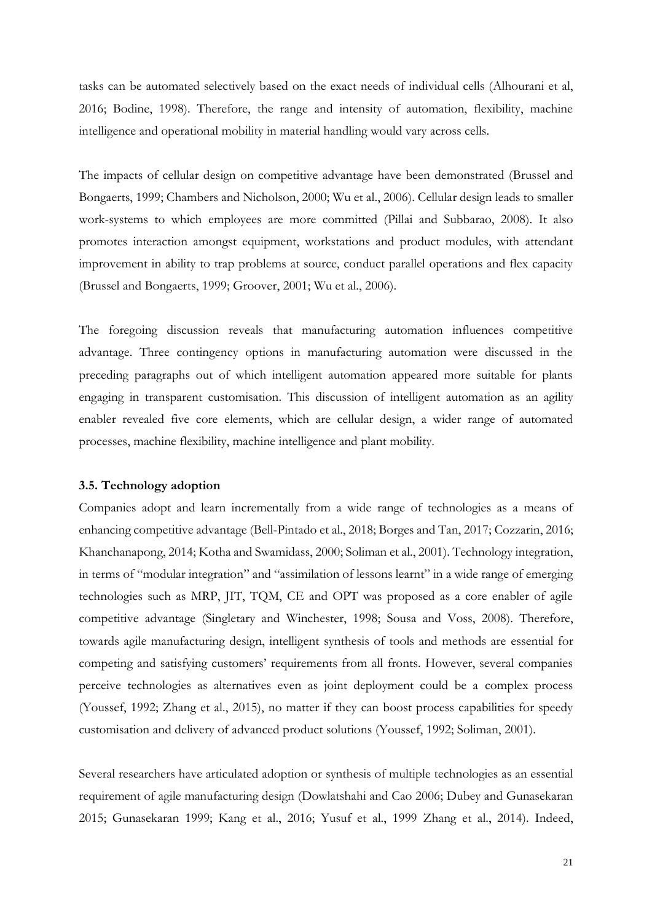tasks can be automated selectively based on the exact needs of individual cells (Alhourani et al, 2016; Bodine, 1998). Therefore, the range and intensity of automation, flexibility, machine intelligence and operational mobility in material handling would vary across cells.

The impacts of cellular design on competitive advantage have been demonstrated (Brussel and Bongaerts, 1999; Chambers and Nicholson, 2000; Wu et al., 2006). Cellular design leads to smaller work-systems to which employees are more committed (Pillai and Subbarao, 2008). It also promotes interaction amongst equipment, workstations and product modules, with attendant improvement in ability to trap problems at source, conduct parallel operations and flex capacity (Brussel and Bongaerts, 1999; Groover, 2001; Wu et al., 2006).

The foregoing discussion reveals that manufacturing automation influences competitive advantage. Three contingency options in manufacturing automation were discussed in the preceding paragraphs out of which intelligent automation appeared more suitable for plants engaging in transparent customisation. This discussion of intelligent automation as an agility enabler revealed five core elements, which are cellular design, a wider range of automated processes, machine flexibility, machine intelligence and plant mobility.

#### **3.5. Technology adoption**

Companies adopt and learn incrementally from a wide range of technologies as a means of enhancing competitive advantage (Bell-Pintado et al., 2018; Borges and Tan, 2017; Cozzarin, 2016; Khanchanapong, 2014; Kotha and Swamidass, 2000; Soliman et al., 2001). Technology integration, in terms of "modular integration" and "assimilation of lessons learnt" in a wide range of emerging technologies such as MRP, JIT, TQM, CE and OPT was proposed as a core enabler of agile competitive advantage (Singletary and Winchester, 1998; Sousa and Voss, 2008). Therefore, towards agile manufacturing design, intelligent synthesis of tools and methods are essential for competing and satisfying customers' requirements from all fronts. However, several companies perceive technologies as alternatives even as joint deployment could be a complex process (Youssef, 1992; Zhang et al., 2015), no matter if they can boost process capabilities for speedy customisation and delivery of advanced product solutions (Youssef, 1992; Soliman, 2001).

Several researchers have articulated adoption or synthesis of multiple technologies as an essential requirement of agile manufacturing design (Dowlatshahi and Cao 2006; Dubey and Gunasekaran 2015; Gunasekaran 1999; Kang et al., 2016; Yusuf et al., 1999 Zhang et al., 2014). Indeed,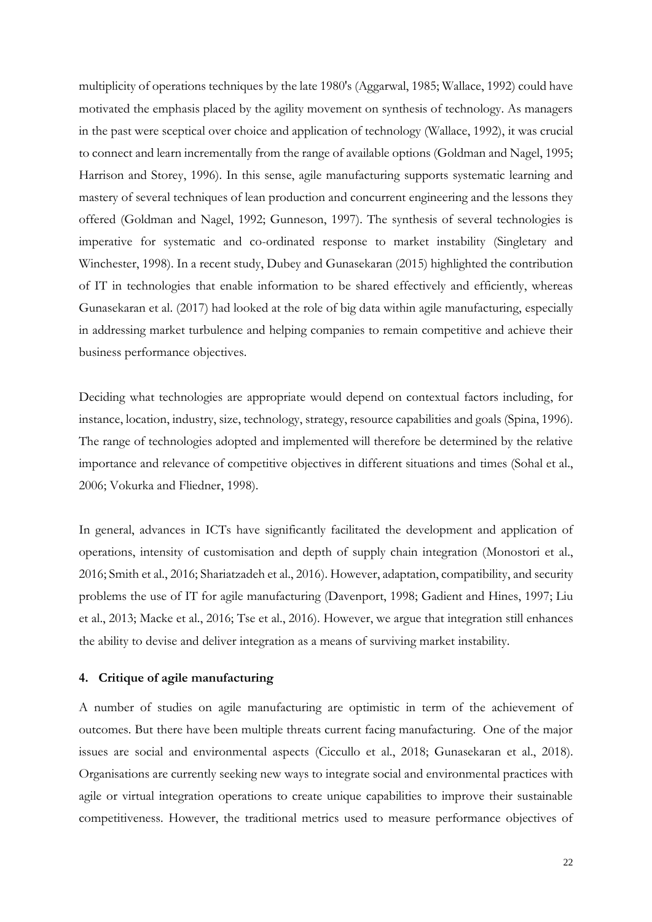multiplicity of operations techniques by the late 1980's (Aggarwal, 1985; Wallace, 1992) could have motivated the emphasis placed by the agility movement on synthesis of technology. As managers in the past were sceptical over choice and application of technology (Wallace, 1992), it was crucial to connect and learn incrementally from the range of available options (Goldman and Nagel, 1995; Harrison and Storey, 1996). In this sense, agile manufacturing supports systematic learning and mastery of several techniques of lean production and concurrent engineering and the lessons they offered (Goldman and Nagel, 1992; Gunneson, 1997). The synthesis of several technologies is imperative for systematic and co-ordinated response to market instability (Singletary and Winchester, 1998). In a recent study, Dubey and Gunasekaran (2015) highlighted the contribution of IT in technologies that enable information to be shared effectively and efficiently, whereas Gunasekaran et al. (2017) had looked at the role of big data within agile manufacturing, especially in addressing market turbulence and helping companies to remain competitive and achieve their business performance objectives.

Deciding what technologies are appropriate would depend on contextual factors including, for instance, location, industry, size, technology, strategy, resource capabilities and goals (Spina, 1996). The range of technologies adopted and implemented will therefore be determined by the relative importance and relevance of competitive objectives in different situations and times (Sohal et al., 2006; Vokurka and Fliedner, 1998).

In general, advances in ICTs have significantly facilitated the development and application of operations, intensity of customisation and depth of supply chain integration (Monostori et al., 2016; Smith et al., 2016; Shariatzadeh et al., 2016). However, adaptation, compatibility, and security problems the use of IT for agile manufacturing (Davenport, 1998; Gadient and Hines, 1997; Liu et al., 2013; Macke et al., 2016; Tse et al., 2016). However, we argue that integration still enhances the ability to devise and deliver integration as a means of surviving market instability.

### **4. Critique of agile manufacturing**

A number of studies on agile manufacturing are optimistic in term of the achievement of outcomes. But there have been multiple threats current facing manufacturing. One of the major issues are social and environmental aspects (Ciccullo et al., 2018; Gunasekaran et al., 2018). Organisations are currently seeking new ways to integrate social and environmental practices with agile or virtual integration operations to create unique capabilities to improve their sustainable competitiveness. However, the traditional metrics used to measure performance objectives of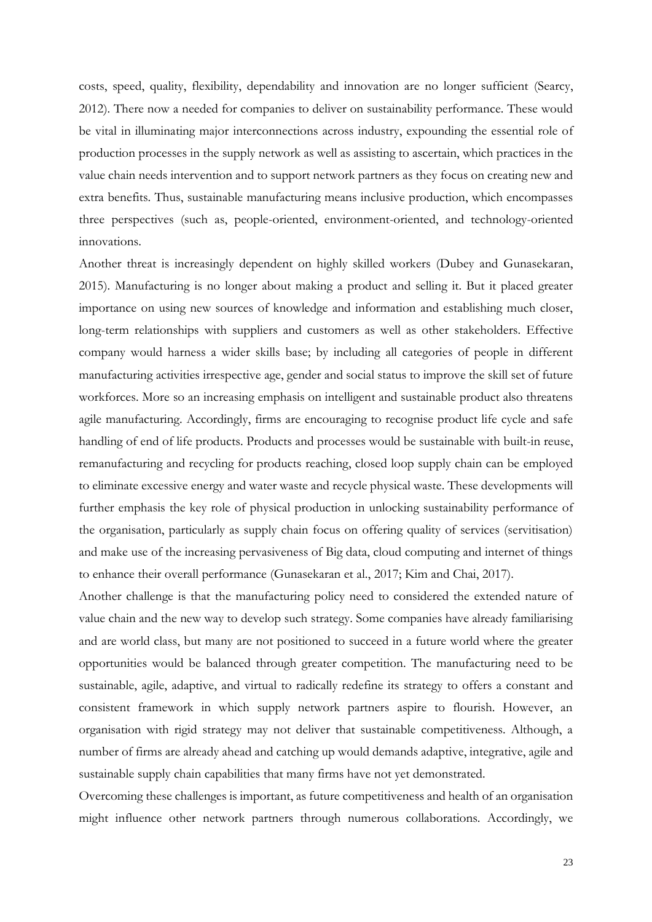costs, speed, quality, flexibility, dependability and innovation are no longer sufficient (Searcy, 2012). There now a needed for companies to deliver on sustainability performance. These would be vital in illuminating major interconnections across industry, expounding the essential role of production processes in the supply network as well as assisting to ascertain, which practices in the value chain needs intervention and to support network partners as they focus on creating new and extra benefits. Thus, sustainable manufacturing means inclusive production, which encompasses three perspectives (such as, people-oriented, environment-oriented, and technology-oriented innovations.

Another threat is increasingly dependent on highly skilled workers (Dubey and Gunasekaran, 2015). Manufacturing is no longer about making a product and selling it. But it placed greater importance on using new sources of knowledge and information and establishing much closer, long-term relationships with suppliers and customers as well as other stakeholders. Effective company would harness a wider skills base; by including all categories of people in different manufacturing activities irrespective age, gender and social status to improve the skill set of future workforces. More so an increasing emphasis on intelligent and sustainable product also threatens agile manufacturing. Accordingly, firms are encouraging to recognise product life cycle and safe handling of end of life products. Products and processes would be sustainable with built-in reuse, remanufacturing and recycling for products reaching, closed loop supply chain can be employed to eliminate excessive energy and water waste and recycle physical waste. These developments will further emphasis the key role of physical production in unlocking sustainability performance of the organisation, particularly as supply chain focus on offering quality of services (servitisation) and make use of the increasing pervasiveness of Big data, cloud computing and internet of things to enhance their overall performance (Gunasekaran et al., 2017; Kim and Chai, 2017).

Another challenge is that the manufacturing policy need to considered the extended nature of value chain and the new way to develop such strategy. Some companies have already familiarising and are world class, but many are not positioned to succeed in a future world where the greater opportunities would be balanced through greater competition. The manufacturing need to be sustainable, agile, adaptive, and virtual to radically redefine its strategy to offers a constant and consistent framework in which supply network partners aspire to flourish. However, an organisation with rigid strategy may not deliver that sustainable competitiveness. Although, a number of firms are already ahead and catching up would demands adaptive, integrative, agile and sustainable supply chain capabilities that many firms have not yet demonstrated.

Overcoming these challenges is important, as future competitiveness and health of an organisation might influence other network partners through numerous collaborations. Accordingly, we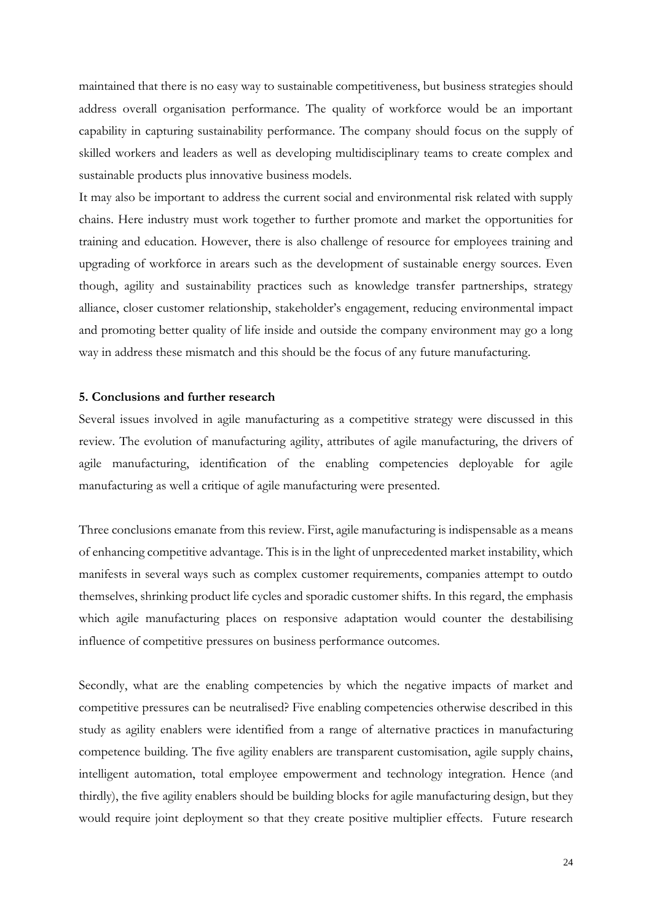maintained that there is no easy way to sustainable competitiveness, but business strategies should address overall organisation performance. The quality of workforce would be an important capability in capturing sustainability performance. The company should focus on the supply of skilled workers and leaders as well as developing multidisciplinary teams to create complex and sustainable products plus innovative business models.

It may also be important to address the current social and environmental risk related with supply chains. Here industry must work together to further promote and market the opportunities for training and education. However, there is also challenge of resource for employees training and upgrading of workforce in arears such as the development of sustainable energy sources. Even though, agility and sustainability practices such as knowledge transfer partnerships, strategy alliance, closer customer relationship, stakeholder's engagement, reducing environmental impact and promoting better quality of life inside and outside the company environment may go a long way in address these mismatch and this should be the focus of any future manufacturing.

#### **5. Conclusions and further research**

Several issues involved in agile manufacturing as a competitive strategy were discussed in this review. The evolution of manufacturing agility, attributes of agile manufacturing, the drivers of agile manufacturing, identification of the enabling competencies deployable for agile manufacturing as well a critique of agile manufacturing were presented.

Three conclusions emanate from this review. First, agile manufacturing is indispensable as a means of enhancing competitive advantage. This is in the light of unprecedented market instability, which manifests in several ways such as complex customer requirements, companies attempt to outdo themselves, shrinking product life cycles and sporadic customer shifts. In this regard, the emphasis which agile manufacturing places on responsive adaptation would counter the destabilising influence of competitive pressures on business performance outcomes.

Secondly, what are the enabling competencies by which the negative impacts of market and competitive pressures can be neutralised? Five enabling competencies otherwise described in this study as agility enablers were identified from a range of alternative practices in manufacturing competence building. The five agility enablers are transparent customisation, agile supply chains, intelligent automation, total employee empowerment and technology integration. Hence (and thirdly), the five agility enablers should be building blocks for agile manufacturing design, but they would require joint deployment so that they create positive multiplier effects. Future research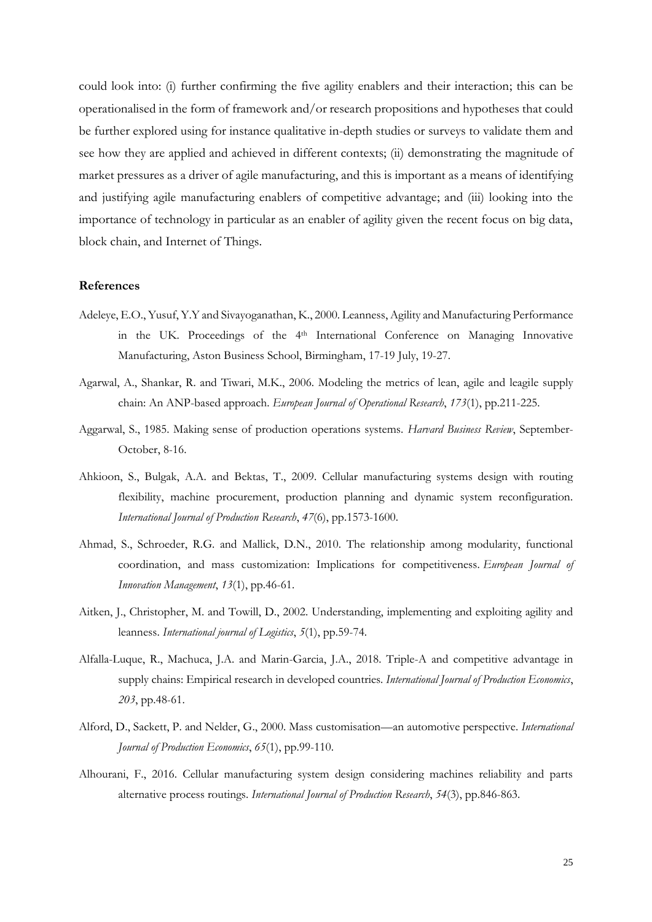could look into: (i) further confirming the five agility enablers and their interaction; this can be operationalised in the form of framework and/or research propositions and hypotheses that could be further explored using for instance qualitative in-depth studies or surveys to validate them and see how they are applied and achieved in different contexts; (ii) demonstrating the magnitude of market pressures as a driver of agile manufacturing, and this is important as a means of identifying and justifying agile manufacturing enablers of competitive advantage; and (iii) looking into the importance of technology in particular as an enabler of agility given the recent focus on big data, block chain, and Internet of Things.

#### **References**

- Adeleye, E.O., Yusuf, Y.Y and Sivayoganathan, K., 2000. Leanness, Agility and Manufacturing Performance in the UK. Proceedings of the 4th International Conference on Managing Innovative Manufacturing, Aston Business School, Birmingham, 17-19 July, 19-27.
- Agarwal, A., Shankar, R. and Tiwari, M.K., 2006. Modeling the metrics of lean, agile and leagile supply chain: An ANP-based approach. *European Journal of Operational Research*, *173*(1), pp.211-225.
- Aggarwal, S., 1985. Making sense of production operations systems. *Harvard Business Review*, September-October, 8-16.
- Ahkioon, S., Bulgak, A.A. and Bektas, T., 2009. Cellular manufacturing systems design with routing flexibility, machine procurement, production planning and dynamic system reconfiguration. *International Journal of Production Research*, *47*(6), pp.1573-1600.
- Ahmad, S., Schroeder, R.G. and Mallick, D.N., 2010. The relationship among modularity, functional coordination, and mass customization: Implications for competitiveness. *European Journal of Innovation Management*, *13*(1), pp.46-61.
- Aitken, J., Christopher, M. and Towill, D., 2002. Understanding, implementing and exploiting agility and leanness. *International journal of Logistics*, *5*(1), pp.59-74.
- Alfalla-Luque, R., Machuca, J.A. and Marin-Garcia, J.A., 2018. Triple-A and competitive advantage in supply chains: Empirical research in developed countries. *International Journal of Production Economics*, *203*, pp.48-61.
- Alford, D., Sackett, P. and Nelder, G., 2000. Mass customisation—an automotive perspective. *International Journal of Production Economics*, *65*(1), pp.99-110.
- Alhourani, F., 2016. Cellular manufacturing system design considering machines reliability and parts alternative process routings. *International Journal of Production Research*, *54*(3), pp.846-863.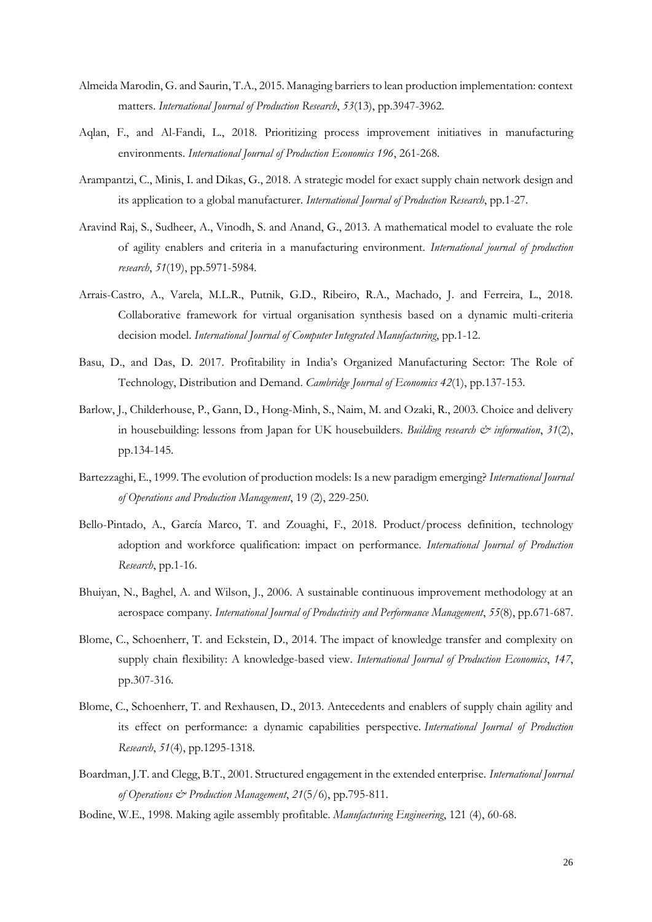- Almeida Marodin, G. and Saurin, T.A., 2015. Managing barriers to lean production implementation: context matters. *International Journal of Production Research*, *53*(13), pp.3947-3962.
- Aqlan, F., and Al-Fandi, L., 2018. Prioritizing process improvement initiatives in manufacturing environments. *International Journal of Production Economics 196*, 261-268.
- Arampantzi, C., Minis, I. and Dikas, G., 2018. A strategic model for exact supply chain network design and its application to a global manufacturer. *International Journal of Production Research*, pp.1-27.
- Aravind Raj, S., Sudheer, A., Vinodh, S. and Anand, G., 2013. A mathematical model to evaluate the role of agility enablers and criteria in a manufacturing environment. *International journal of production research*, *51*(19), pp.5971-5984.
- Arrais-Castro, A., Varela, M.L.R., Putnik, G.D., Ribeiro, R.A., Machado, J. and Ferreira, L., 2018. Collaborative framework for virtual organisation synthesis based on a dynamic multi-criteria decision model. *International Journal of Computer Integrated Manufacturing*, pp.1-12.
- Basu, D., and Das, D. 2017. Profitability in India's Organized Manufacturing Sector: The Role of Technology, Distribution and Demand. *Cambridge Journal of Economics 42*(1), pp.137-153.
- Barlow, J., Childerhouse, P., Gann, D., Hong-Minh, S., Naim, M. and Ozaki, R., 2003. Choice and delivery in housebuilding: lessons from Japan for UK housebuilders. *Building research*  $\breve{c}$  *information*, 31(2), pp.134-145.
- Bartezzaghi, E., 1999. The evolution of production models: Is a new paradigm emerging? *International Journal of Operations and Production Management*, 19 (2), 229-250.
- Bello-Pintado, A., García Marco, T. and Zouaghi, F., 2018. Product/process definition, technology adoption and workforce qualification: impact on performance. *International Journal of Production Research*, pp.1-16.
- Bhuiyan, N., Baghel, A. and Wilson, J., 2006. A sustainable continuous improvement methodology at an aerospace company. *International Journal of Productivity and Performance Management*, *55*(8), pp.671-687.
- Blome, C., Schoenherr, T. and Eckstein, D., 2014. The impact of knowledge transfer and complexity on supply chain flexibility: A knowledge-based view. *International Journal of Production Economics*, *147*, pp.307-316.
- Blome, C., Schoenherr, T. and Rexhausen, D., 2013. Antecedents and enablers of supply chain agility and its effect on performance: a dynamic capabilities perspective. *International Journal of Production Research*, *51*(4), pp.1295-1318.
- Boardman, J.T. and Clegg, B.T., 2001. Structured engagement in the extended enterprise. *International Journal of Operations & Production Management*, *21*(5/6), pp.795-811.
- Bodine, W.E., 1998. Making agile assembly profitable. *Manufacturing Engineering*, 121 (4), 60-68.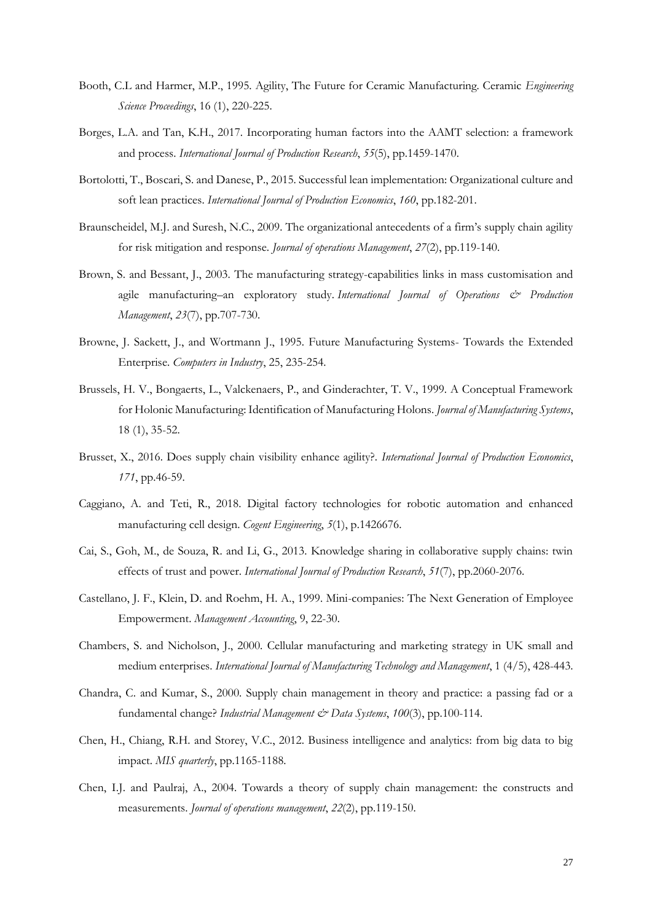- Booth, C.L and Harmer, M.P., 1995. Agility, The Future for Ceramic Manufacturing. Ceramic *Engineering Science Proceedings*, 16 (1), 220-225.
- Borges, L.A. and Tan, K.H., 2017. Incorporating human factors into the AAMT selection: a framework and process. *International Journal of Production Research*, *55*(5), pp.1459-1470.
- Bortolotti, T., Boscari, S. and Danese, P., 2015. Successful lean implementation: Organizational culture and soft lean practices. *International Journal of Production Economics*, *160*, pp.182-201.
- Braunscheidel, M.J. and Suresh, N.C., 2009. The organizational antecedents of a firm's supply chain agility for risk mitigation and response. *Journal of operations Management*, *27*(2), pp.119-140.
- Brown, S. and Bessant, J., 2003. The manufacturing strategy-capabilities links in mass customisation and agile manufacturing–an exploratory study. *International Journal of Operations & Production Management*, *23*(7), pp.707-730.
- Browne, J. Sackett, J., and Wortmann J., 1995. Future Manufacturing Systems- Towards the Extended Enterprise. *Computers in Industry*, 25, 235-254.
- Brussels, H. V., Bongaerts, L., Valckenaers, P., and Ginderachter, T. V., 1999. A Conceptual Framework for Holonic Manufacturing: Identification of Manufacturing Holons. *Journal of Manufacturing Systems*, 18 (1), 35-52.
- Brusset, X., 2016. Does supply chain visibility enhance agility?. *International Journal of Production Economics*, *171*, pp.46-59.
- Caggiano, A. and Teti, R., 2018. Digital factory technologies for robotic automation and enhanced manufacturing cell design. *Cogent Engineering*, *5*(1), p.1426676.
- Cai, S., Goh, M., de Souza, R. and Li, G., 2013. Knowledge sharing in collaborative supply chains: twin effects of trust and power. *International Journal of Production Research*, *51*(7), pp.2060-2076.
- Castellano, J. F., Klein, D. and Roehm, H. A., 1999. Mini-companies: The Next Generation of Employee Empowerment. *Management Accounting*, 9, 22-30.
- Chambers, S. and Nicholson, J., 2000. Cellular manufacturing and marketing strategy in UK small and medium enterprises. *International Journal of Manufacturing Technology and Management*, 1 (4/5), 428-443.
- Chandra, C. and Kumar, S., 2000. Supply chain management in theory and practice: a passing fad or a fundamental change? *Industrial Management & Data Systems*, *100*(3), pp.100-114.
- Chen, H., Chiang, R.H. and Storey, V.C., 2012. Business intelligence and analytics: from big data to big impact. *MIS quarterly*, pp.1165-1188.
- Chen, I.J. and Paulraj, A., 2004. Towards a theory of supply chain management: the constructs and measurements. *Journal of operations management*, *22*(2), pp.119-150.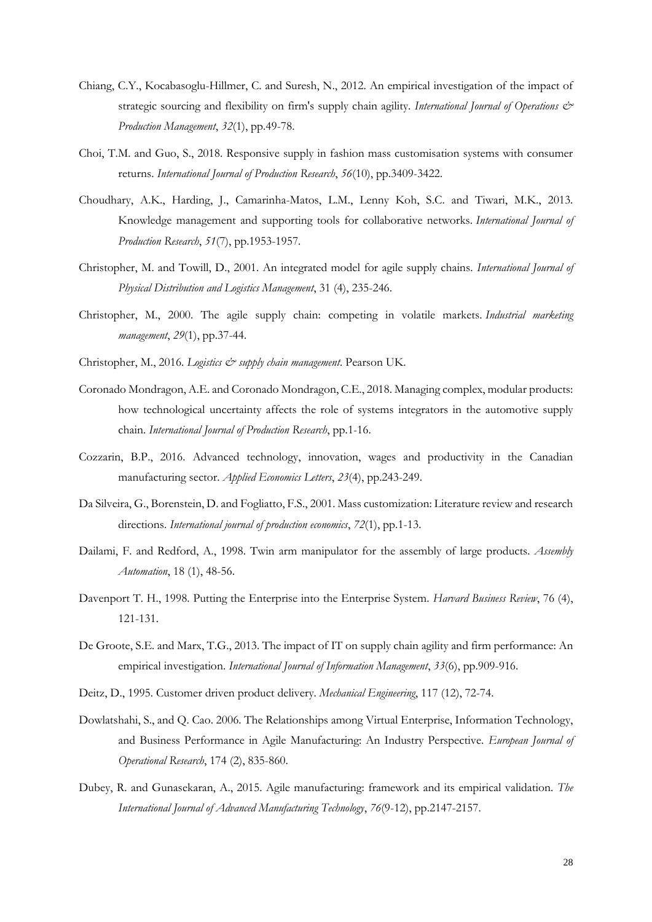- Chiang, C.Y., Kocabasoglu-Hillmer, C. and Suresh, N., 2012. An empirical investigation of the impact of strategic sourcing and flexibility on firm's supply chain agility. *International Journal of Operations & Production Management*, *32*(1), pp.49-78.
- Choi, T.M. and Guo, S., 2018. Responsive supply in fashion mass customisation systems with consumer returns. *International Journal of Production Research*, *56*(10), pp.3409-3422.
- Choudhary, A.K., Harding, J., Camarinha-Matos, L.M., Lenny Koh, S.C. and Tiwari, M.K., 2013. Knowledge management and supporting tools for collaborative networks. *International Journal of Production Research*, *51*(7), pp.1953-1957.
- Christopher, M. and Towill, D., 2001. An integrated model for agile supply chains. *International Journal of Physical Distribution and Logistics Management*, 31 (4), 235-246.
- Christopher, M., 2000. The agile supply chain: competing in volatile markets. *Industrial marketing management*, *29*(1), pp.37-44.
- Christopher, M., 2016. *Logistics & supply chain management*. Pearson UK.
- Coronado Mondragon, A.E. and Coronado Mondragon, C.E., 2018. Managing complex, modular products: how technological uncertainty affects the role of systems integrators in the automotive supply chain. *International Journal of Production Research*, pp.1-16.
- Cozzarin, B.P., 2016. Advanced technology, innovation, wages and productivity in the Canadian manufacturing sector. *Applied Economics Letters*, *23*(4), pp.243-249.
- Da Silveira, G., Borenstein, D. and Fogliatto, F.S., 2001. Mass customization: Literature review and research directions. *International journal of production economics*, *72*(1), pp.1-13.
- Dailami, F. and Redford, A., 1998. Twin arm manipulator for the assembly of large products. *Assembly Automation*, 18 (1), 48-56.
- Davenport T. H., 1998. Putting the Enterprise into the Enterprise System. *Harvard Business Review*, 76 (4), 121-131.
- De Groote, S.E. and Marx, T.G., 2013. The impact of IT on supply chain agility and firm performance: An empirical investigation. *International Journal of Information Management*, *33*(6), pp.909-916.
- Deitz, D., 1995. Customer driven product delivery. *Mechanical Engineering*, 117 (12), 72-74.
- Dowlatshahi, S., and Q. Cao. 2006. The Relationships among Virtual Enterprise, Information Technology, and Business Performance in Agile Manufacturing: An Industry Perspective. *European Journal of Operational Research*, 174 (2), 835-860.
- Dubey, R. and Gunasekaran, A., 2015. Agile manufacturing: framework and its empirical validation. *The International Journal of Advanced Manufacturing Technology*, *76*(9-12), pp.2147-2157.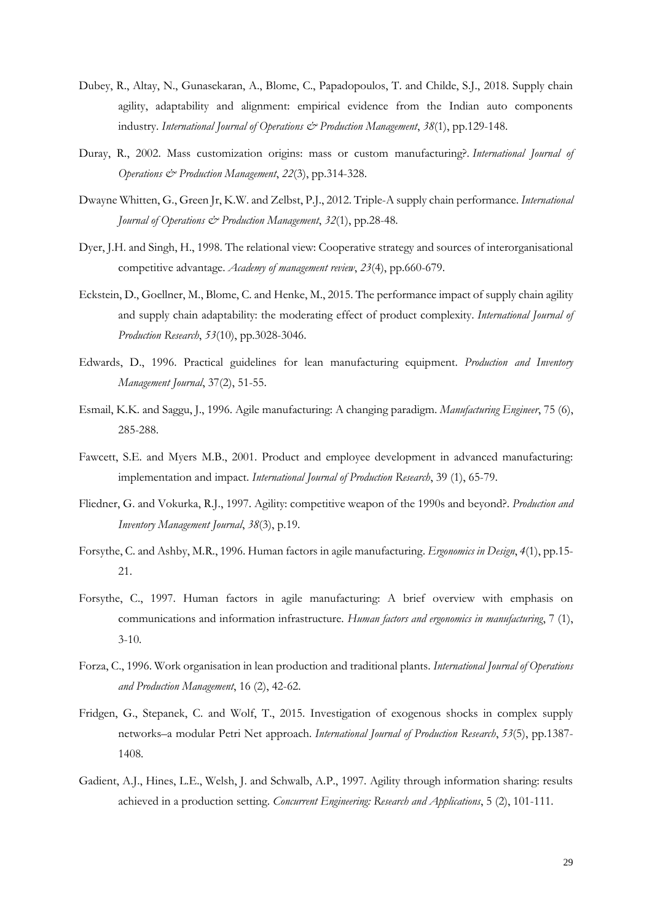- Dubey, R., Altay, N., Gunasekaran, A., Blome, C., Papadopoulos, T. and Childe, S.J., 2018. Supply chain agility, adaptability and alignment: empirical evidence from the Indian auto components industry. *International Journal of Operations & Production Management*, *38*(1), pp.129-148.
- Duray, R., 2002. Mass customization origins: mass or custom manufacturing?. *International Journal of Operations & Production Management*, *22*(3), pp.314-328.
- Dwayne Whitten, G., Green Jr, K.W. and Zelbst, P.J., 2012. Triple-A supply chain performance. *International Journal of Operations & Production Management*, *32*(1), pp.28-48.
- Dyer, J.H. and Singh, H., 1998. The relational view: Cooperative strategy and sources of interorganisational competitive advantage. *Academy of management review*, *23*(4), pp.660-679.
- Eckstein, D., Goellner, M., Blome, C. and Henke, M., 2015. The performance impact of supply chain agility and supply chain adaptability: the moderating effect of product complexity. *International Journal of Production Research*, *53*(10), pp.3028-3046.
- Edwards, D., 1996. Practical guidelines for lean manufacturing equipment. *Production and Inventory Management Journal*, 37(2), 51-55.
- Esmail, K.K. and Saggu, J., 1996. Agile manufacturing: A changing paradigm. *Manufacturing Engineer*, 75 (6), 285-288.
- Fawcett, S.E. and Myers M.B., 2001. Product and employee development in advanced manufacturing: implementation and impact. *International Journal of Production Research*, 39 (1), 65-79.
- Fliedner, G. and Vokurka, R.J., 1997. Agility: competitive weapon of the 1990s and beyond?. *Production and Inventory Management Journal*, *38*(3), p.19.
- Forsythe, C. and Ashby, M.R., 1996. Human factors in agile manufacturing. *Ergonomics in Design*, *4*(1), pp.15- 21.
- Forsythe, C., 1997. Human factors in agile manufacturing: A brief overview with emphasis on communications and information infrastructure. *Human factors and ergonomics in manufacturing*, 7 (1), 3-10.
- Forza, C., 1996. Work organisation in lean production and traditional plants. *International Journal of Operations and Production Management*, 16 (2), 42-62.
- Fridgen, G., Stepanek, C. and Wolf, T., 2015. Investigation of exogenous shocks in complex supply networks–a modular Petri Net approach. *International Journal of Production Research*, *53*(5), pp.1387- 1408.
- Gadient, A.J., Hines, L.E., Welsh, J. and Schwalb, A.P., 1997. Agility through information sharing: results achieved in a production setting. *Concurrent Engineering: Research and Applications*, 5 (2), 101-111.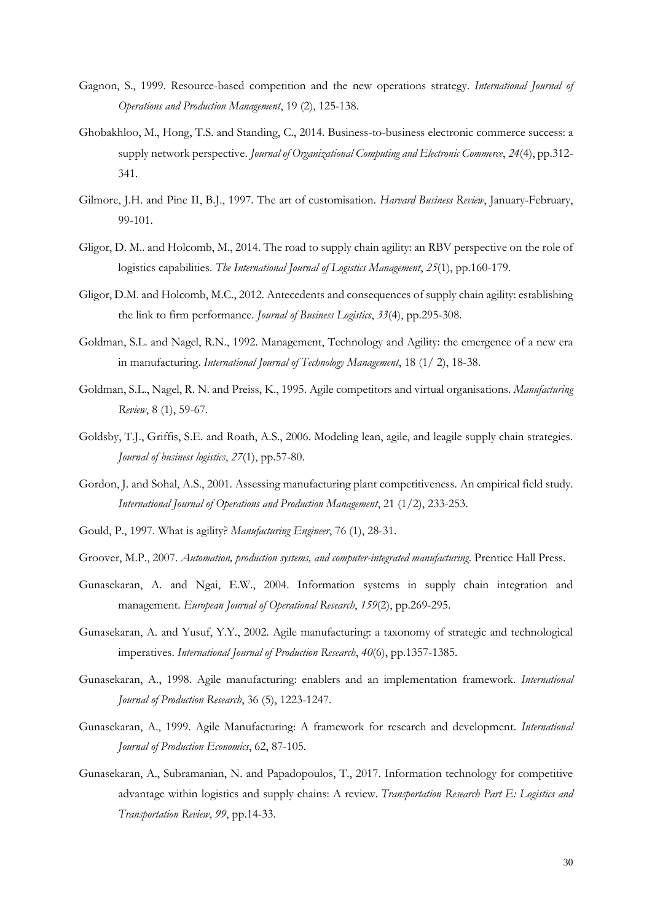- Gagnon, S., 1999. Resource-based competition and the new operations strategy. *International Journal of Operations and Production Management*, 19 (2), 125-138.
- Ghobakhloo, M., Hong, T.S. and Standing, C., 2014. Business-to-business electronic commerce success: a supply network perspective. *Journal of Organizational Computing and Electronic Commerce*, *24*(4), pp.312- 341.
- Gilmore, J.H. and Pine II, B.J., 1997. The art of customisation. *Harvard Business Review*, January-February, 99-101.
- Gligor, D. M.. and Holcomb, M., 2014. The road to supply chain agility: an RBV perspective on the role of logistics capabilities. *The International Journal of Logistics Management*, *25*(1), pp.160-179.
- Gligor, D.M. and Holcomb, M.C., 2012. Antecedents and consequences of supply chain agility: establishing the link to firm performance. *Journal of Business Logistics*, *33*(4), pp.295-308.
- Goldman, S.L. and Nagel, R.N., 1992. Management, Technology and Agility: the emergence of a new era in manufacturing. *International Journal of Technology Management*, 18 (1/ 2), 18-38.
- Goldman, S.L., Nagel, R. N. and Preiss, K., 1995. Agile competitors and virtual organisations. *Manufacturing Review*, 8 (1), 59-67.
- Goldsby, T.J., Griffis, S.E. and Roath, A.S., 2006. Modeling lean, agile, and leagile supply chain strategies. *Journal of business logistics*, *27*(1), pp.57-80.
- Gordon, J. and Sohal, A.S., 2001. Assessing manufacturing plant competitiveness. An empirical field study. *International Journal of Operations and Production Management*, 21 (1/2), 233-253.
- Gould, P., 1997. What is agility? *Manufacturing Engineer*, 76 (1), 28-31.
- Groover, M.P., 2007. *Automation, production systems, and computer-integrated manufacturing*. Prentice Hall Press.
- Gunasekaran, A. and Ngai, E.W., 2004. Information systems in supply chain integration and management. *European Journal of Operational Research*, *159*(2), pp.269-295.
- Gunasekaran, A. and Yusuf, Y.Y., 2002. Agile manufacturing: a taxonomy of strategic and technological imperatives. *International Journal of Production Research*, *40*(6), pp.1357-1385.
- Gunasekaran, A., 1998. Agile manufacturing: enablers and an implementation framework. *International Journal of Production Research*, 36 (5), 1223-1247.
- Gunasekaran, A., 1999. Agile Manufacturing: A framework for research and development. *International Journal of Production Economics*, 62, 87-105.
- Gunasekaran, A., Subramanian, N. and Papadopoulos, T., 2017. Information technology for competitive advantage within logistics and supply chains: A review. *Transportation Research Part E: Logistics and Transportation Review*, *99*, pp.14-33.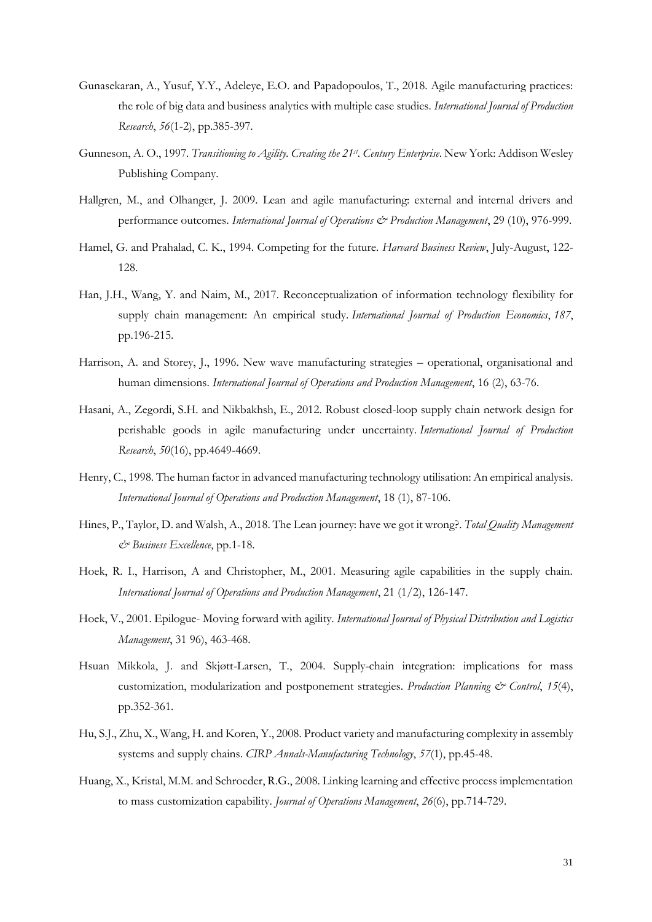- Gunasekaran, A., Yusuf, Y.Y., Adeleye, E.O. and Papadopoulos, T., 2018. Agile manufacturing practices: the role of big data and business analytics with multiple case studies. *International Journal of Production Research*, *56*(1-2), pp.385-397.
- Gunneson, A. O., 1997. *Transitioning to Agility. Creating the 21st. Century Enterprise*. New York: Addison Wesley Publishing Company.
- Hallgren, M., and Olhanger, J. 2009. Lean and agile manufacturing: external and internal drivers and performance outcomes. *International Journal of Operations & Production Management*, 29 (10), 976-999.
- Hamel, G. and Prahalad, C. K., 1994. Competing for the future. *Harvard Business Review*, July-August, 122- 128.
- Han, J.H., Wang, Y. and Naim, M., 2017. Reconceptualization of information technology flexibility for supply chain management: An empirical study. *International Journal of Production Economics*, *187*, pp.196-215.
- Harrison, A. and Storey, J., 1996. New wave manufacturing strategies operational, organisational and human dimensions. *International Journal of Operations and Production Management*, 16 (2), 63-76.
- Hasani, A., Zegordi, S.H. and Nikbakhsh, E., 2012. Robust closed-loop supply chain network design for perishable goods in agile manufacturing under uncertainty. *International Journal of Production Research*, *50*(16), pp.4649-4669.
- Henry, C., 1998. The human factor in advanced manufacturing technology utilisation: An empirical analysis. *International Journal of Operations and Production Management*, 18 (1), 87-106.
- Hines, P., Taylor, D. and Walsh, A., 2018. The Lean journey: have we got it wrong?. *Total Quality Management & Business Excellence*, pp.1-18.
- Hoek, R. I., Harrison, A and Christopher, M., 2001. Measuring agile capabilities in the supply chain. *International Journal of Operations and Production Management*, 21 (1/2), 126-147.
- Hoek, V., 2001. Epilogue- Moving forward with agility. *International Journal of Physical Distribution and Logistics Management*, 31 96), 463-468.
- Hsuan Mikkola, J. and Skjøtt-Larsen, T., 2004. Supply-chain integration: implications for mass customization, modularization and postponement strategies. *Production Planning & Control*, *15*(4), pp.352-361.
- Hu, S.J., Zhu, X., Wang, H. and Koren, Y., 2008. Product variety and manufacturing complexity in assembly systems and supply chains. *CIRP Annals-Manufacturing Technology*, *57*(1), pp.45-48.
- Huang, X., Kristal, M.M. and Schroeder, R.G., 2008. Linking learning and effective process implementation to mass customization capability. *Journal of Operations Management*, *26*(6), pp.714-729.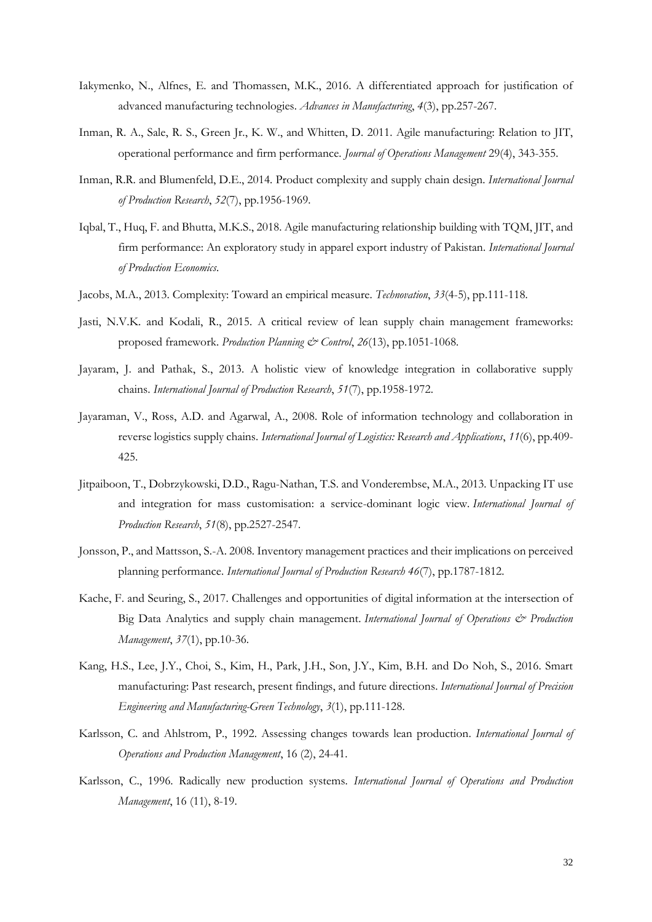- Iakymenko, N., Alfnes, E. and Thomassen, M.K., 2016. A differentiated approach for justification of advanced manufacturing technologies. *Advances in Manufacturing*, *4*(3), pp.257-267.
- Inman, R. A., Sale, R. S., Green Jr., K. W., and Whitten, D. 2011. Agile manufacturing: Relation to JIT, operational performance and firm performance. *Journal of Operations Management* 29(4), 343-355.
- Inman, R.R. and Blumenfeld, D.E., 2014. Product complexity and supply chain design. *International Journal of Production Research*, *52*(7), pp.1956-1969.
- Iqbal, T., Huq, F. and Bhutta, M.K.S., 2018. Agile manufacturing relationship building with TQM, JIT, and firm performance: An exploratory study in apparel export industry of Pakistan. *International Journal of Production Economics*.
- Jacobs, M.A., 2013. Complexity: Toward an empirical measure. *Technovation*, *33*(4-5), pp.111-118.
- Jasti, N.V.K. and Kodali, R., 2015. A critical review of lean supply chain management frameworks: proposed framework. *Production Planning & Control*, *26*(13), pp.1051-1068.
- Jayaram, J. and Pathak, S., 2013. A holistic view of knowledge integration in collaborative supply chains. *International Journal of Production Research*, *51*(7), pp.1958-1972.
- Jayaraman, V., Ross, A.D. and Agarwal, A., 2008. Role of information technology and collaboration in reverse logistics supply chains. *International Journal of Logistics: Research and Applications*, *11*(6), pp.409- 425.
- Jitpaiboon, T., Dobrzykowski, D.D., Ragu-Nathan, T.S. and Vonderembse, M.A., 2013. Unpacking IT use and integration for mass customisation: a service-dominant logic view. *International Journal of Production Research*, *51*(8), pp.2527-2547.
- Jonsson, P., and Mattsson, S.-A. 2008. Inventory management practices and their implications on perceived planning performance. *International Journal of Production Research 46*(7), pp.1787-1812.
- Kache, F. and Seuring, S., 2017. Challenges and opportunities of digital information at the intersection of Big Data Analytics and supply chain management. *International Journal of Operations & Production Management*, *37*(1), pp.10-36.
- Kang, H.S., Lee, J.Y., Choi, S., Kim, H., Park, J.H., Son, J.Y., Kim, B.H. and Do Noh, S., 2016. Smart manufacturing: Past research, present findings, and future directions. *International Journal of Precision Engineering and Manufacturing-Green Technology*, *3*(1), pp.111-128.
- Karlsson, C. and Ahlstrom, P., 1992. Assessing changes towards lean production. *International Journal of Operations and Production Management*, 16 (2), 24-41.
- Karlsson, C., 1996. Radically new production systems. *International Journal of Operations and Production Management*, 16 (11), 8-19.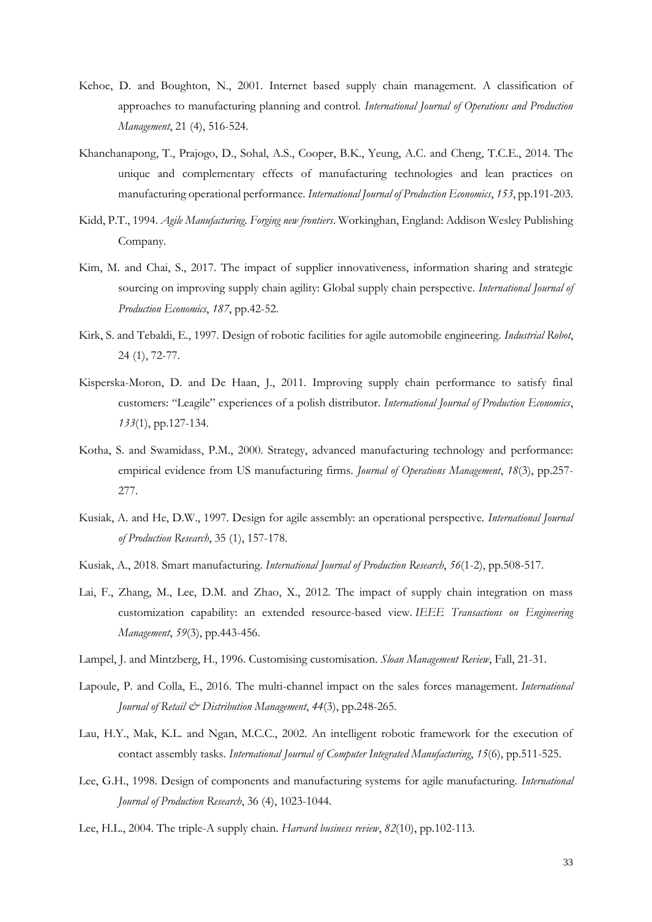- Kehoe, D. and Boughton, N., 2001. Internet based supply chain management. A classification of approaches to manufacturing planning and control. *International Journal of Operations and Production Management*, 21 (4), 516-524.
- Khanchanapong, T., Prajogo, D., Sohal, A.S., Cooper, B.K., Yeung, A.C. and Cheng, T.C.E., 2014. The unique and complementary effects of manufacturing technologies and lean practices on manufacturing operational performance. *International Journal of Production Economics*, *153*, pp.191-203.
- Kidd, P.T., 1994. *Agile Manufacturing. Forging new frontiers*. Workinghan, England: Addison Wesley Publishing Company.
- Kim, M. and Chai, S., 2017. The impact of supplier innovativeness, information sharing and strategic sourcing on improving supply chain agility: Global supply chain perspective. *International Journal of Production Economics*, *187*, pp.42-52.
- Kirk, S. and Tebaldi, E., 1997. Design of robotic facilities for agile automobile engineering. *Industrial Robot*, 24 (1), 72-77.
- Kisperska-Moron, D. and De Haan, J., 2011. Improving supply chain performance to satisfy final customers: "Leagile" experiences of a polish distributor. *International Journal of Production Economics*, *133*(1), pp.127-134.
- Kotha, S. and Swamidass, P.M., 2000. Strategy, advanced manufacturing technology and performance: empirical evidence from US manufacturing firms. *Journal of Operations Management*, *18*(3), pp.257- 277.
- Kusiak, A. and He, D.W., 1997. Design for agile assembly: an operational perspective. *International Journal of Production Research*, 35 (1), 157-178.
- Kusiak, A., 2018. Smart manufacturing. *International Journal of Production Research*, *56*(1-2), pp.508-517.
- Lai, F., Zhang, M., Lee, D.M. and Zhao, X., 2012. The impact of supply chain integration on mass customization capability: an extended resource-based view. *IEEE Transactions on Engineering Management*, *59*(3), pp.443-456.
- Lampel, J. and Mintzberg, H., 1996. Customising customisation. *Sloan Management Review*, Fall, 21-31.
- Lapoule, P. and Colla, E., 2016. The multi-channel impact on the sales forces management. *International Journal of Retail & Distribution Management*, *44*(3), pp.248-265.
- Lau, H.Y., Mak, K.L. and Ngan, M.C.C., 2002. An intelligent robotic framework for the execution of contact assembly tasks. *International Journal of Computer Integrated Manufacturing*, *15*(6), pp.511-525.
- Lee, G.H., 1998. Design of components and manufacturing systems for agile manufacturing. *International Journal of Production Research*, 36 (4), 1023-1044.
- Lee, H.L., 2004. The triple-A supply chain. *Harvard business review*, *82*(10), pp.102-113.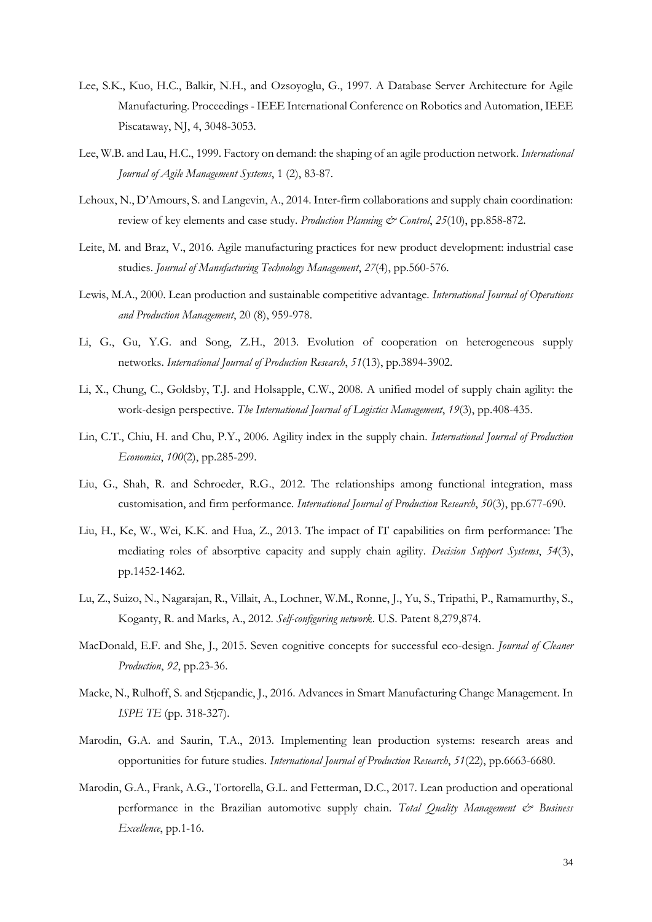- Lee, S.K., Kuo, H.C., Balkir, N.H., and Ozsoyoglu, G., 1997. A Database Server Architecture for Agile Manufacturing. Proceedings - IEEE International Conference on Robotics and Automation, IEEE Piscataway, NJ, 4, 3048-3053.
- Lee, W.B. and Lau, H.C., 1999. Factory on demand: the shaping of an agile production network. *International Journal of Agile Management Systems*, 1 (2), 83-87.
- Lehoux, N., D'Amours, S. and Langevin, A., 2014. Inter-firm collaborations and supply chain coordination: review of key elements and case study. *Production Planning & Control*, 25(10), pp.858-872.
- Leite, M. and Braz, V., 2016. Agile manufacturing practices for new product development: industrial case studies. *Journal of Manufacturing Technology Management*, *27*(4), pp.560-576.
- Lewis, M.A., 2000. Lean production and sustainable competitive advantage. *International Journal of Operations and Production Management*, 20 (8), 959-978.
- Li, G., Gu, Y.G. and Song, Z.H., 2013. Evolution of cooperation on heterogeneous supply networks. *International Journal of Production Research*, *51*(13), pp.3894-3902.
- Li, X., Chung, C., Goldsby, T.J. and Holsapple, C.W., 2008. A unified model of supply chain agility: the work-design perspective. *The International Journal of Logistics Management*, *19*(3), pp.408-435.
- Lin, C.T., Chiu, H. and Chu, P.Y., 2006. Agility index in the supply chain. *International Journal of Production Economics*, *100*(2), pp.285-299.
- Liu, G., Shah, R. and Schroeder, R.G., 2012. The relationships among functional integration, mass customisation, and firm performance. *International Journal of Production Research*, *50*(3), pp.677-690.
- Liu, H., Ke, W., Wei, K.K. and Hua, Z., 2013. The impact of IT capabilities on firm performance: The mediating roles of absorptive capacity and supply chain agility. *Decision Support Systems*, *54*(3), pp.1452-1462.
- Lu, Z., Suizo, N., Nagarajan, R., Villait, A., Lochner, W.M., Ronne, J., Yu, S., Tripathi, P., Ramamurthy, S., Koganty, R. and Marks, A., 2012. *Self-configuring network*. U.S. Patent 8,279,874.
- MacDonald, E.F. and She, J., 2015. Seven cognitive concepts for successful eco-design. *Journal of Cleaner Production*, *92*, pp.23-36.
- Macke, N., Rulhoff, S. and Stjepandic, J., 2016. Advances in Smart Manufacturing Change Management. In *ISPE TE* (pp. 318-327).
- Marodin, G.A. and Saurin, T.A., 2013. Implementing lean production systems: research areas and opportunities for future studies. *International Journal of Production Research*, *51*(22), pp.6663-6680.
- Marodin, G.A., Frank, A.G., Tortorella, G.L. and Fetterman, D.C., 2017. Lean production and operational performance in the Brazilian automotive supply chain. *Total Quality Management & Business Excellence*, pp.1-16.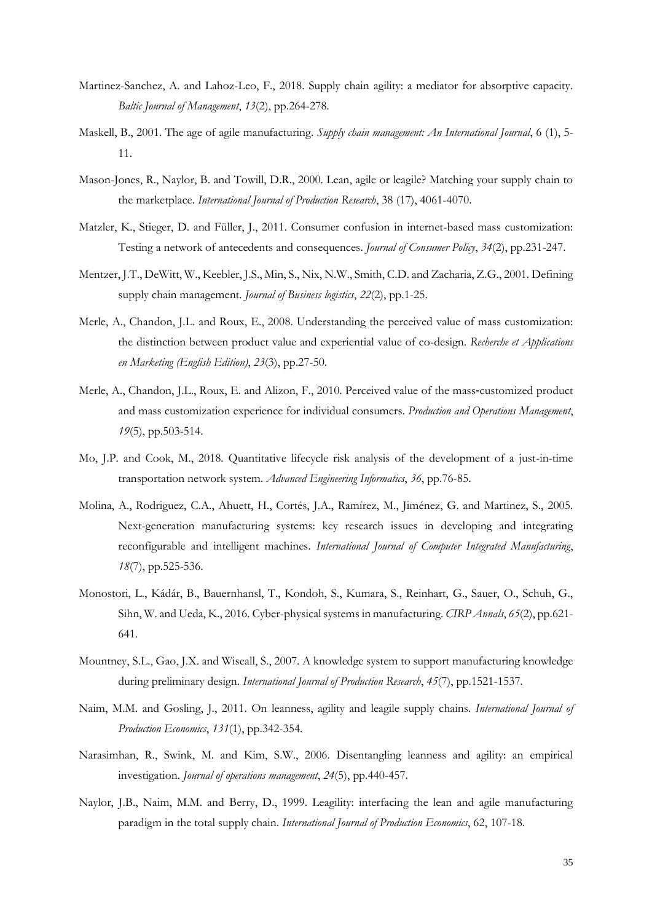- Martinez-Sanchez, A. and Lahoz-Leo, F., 2018. Supply chain agility: a mediator for absorptive capacity. *Baltic Journal of Management*, *13*(2), pp.264-278.
- Maskell, B., 2001. The age of agile manufacturing. *Supply chain management: An International Journal*, 6 (1), 5- 11.
- Mason-Jones, R., Naylor, B. and Towill, D.R., 2000. Lean, agile or leagile? Matching your supply chain to the marketplace. *International Journal of Production Research*, 38 (17), 4061-4070.
- Matzler, K., Stieger, D. and Füller, J., 2011. Consumer confusion in internet-based mass customization: Testing a network of antecedents and consequences. *Journal of Consumer Policy*, *34*(2), pp.231-247.
- Mentzer, J.T., DeWitt, W., Keebler, J.S., Min, S., Nix, N.W., Smith, C.D. and Zacharia, Z.G., 2001. Defining supply chain management. *Journal of Business logistics*, *22*(2), pp.1-25.
- Merle, A., Chandon, J.L. and Roux, E., 2008. Understanding the perceived value of mass customization: the distinction between product value and experiential value of co-design. *Recherche et Applications en Marketing (English Edition)*, *23*(3), pp.27-50.
- Merle, A., Chandon, J.L., Roux, E. and Alizon, F., 2010. Perceived value of the mass-customized product and mass customization experience for individual consumers. *Production and Operations Management*, *19*(5), pp.503-514.
- Mo, J.P. and Cook, M., 2018. Quantitative lifecycle risk analysis of the development of a just-in-time transportation network system. *Advanced Engineering Informatics*, *36*, pp.76-85.
- Molina, A., Rodriguez, C.A., Ahuett, H., Cortés, J.A., Ramírez, M., Jiménez, G. and Martinez, S., 2005. Next-generation manufacturing systems: key research issues in developing and integrating reconfigurable and intelligent machines. *International Journal of Computer Integrated Manufacturing*, *18*(7), pp.525-536.
- Monostori, L., Kádár, B., Bauernhansl, T., Kondoh, S., Kumara, S., Reinhart, G., Sauer, O., Schuh, G., Sihn, W. and Ueda, K., 2016. Cyber-physical systems in manufacturing. *CIRP Annals*, *65*(2), pp.621- 641.
- Mountney, S.L., Gao, J.X. and Wiseall, S., 2007. A knowledge system to support manufacturing knowledge during preliminary design. *International Journal of Production Research*, *45*(7), pp.1521-1537.
- Naim, M.M. and Gosling, J., 2011. On leanness, agility and leagile supply chains. *International Journal of Production Economics*, *131*(1), pp.342-354.
- Narasimhan, R., Swink, M. and Kim, S.W., 2006. Disentangling leanness and agility: an empirical investigation. *Journal of operations management*, *24*(5), pp.440-457.
- Naylor, J.B., Naim, M.M. and Berry, D., 1999. Leagility: interfacing the lean and agile manufacturing paradigm in the total supply chain. *International Journal of Production Economics*, 62, 107-18.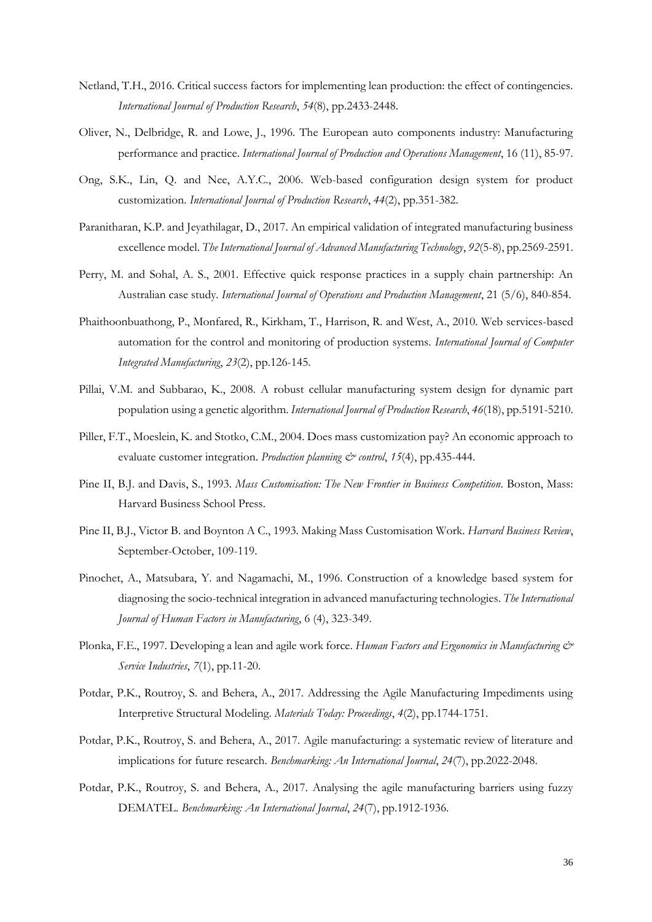- Netland, T.H., 2016. Critical success factors for implementing lean production: the effect of contingencies. *International Journal of Production Research*, *54*(8), pp.2433-2448.
- Oliver, N., Delbridge, R. and Lowe, J., 1996. The European auto components industry: Manufacturing performance and practice. *International Journal of Production and Operations Management*, 16 (11), 85-97.
- Ong, S.K., Lin, Q. and Nee, A.Y.C., 2006. Web-based configuration design system for product customization. *International Journal of Production Research*, *44*(2), pp.351-382.
- Paranitharan, K.P. and Jeyathilagar, D., 2017. An empirical validation of integrated manufacturing business excellence model. *The International Journal of Advanced Manufacturing Technology*, *92*(5-8), pp.2569-2591.
- Perry, M. and Sohal, A. S., 2001. Effective quick response practices in a supply chain partnership: An Australian case study. *International Journal of Operations and Production Management*, 21 (5/6), 840-854.
- Phaithoonbuathong, P., Monfared, R., Kirkham, T., Harrison, R. and West, A., 2010. Web services-based automation for the control and monitoring of production systems. *International Journal of Computer Integrated Manufacturing*, *23*(2), pp.126-145.
- Pillai, V.M. and Subbarao, K., 2008. A robust cellular manufacturing system design for dynamic part population using a genetic algorithm. *International Journal of Production Research*, *46*(18), pp.5191-5210.
- Piller, F.T., Moeslein, K. and Stotko, C.M., 2004. Does mass customization pay? An economic approach to evaluate customer integration. *Production planning & control*, 15(4), pp.435-444.
- Pine II, B.J. and Davis, S., 1993. *Mass Customisation: The New Frontier in Business Competition*. Boston, Mass: Harvard Business School Press.
- Pine II, B.J., Victor B. and Boynton A C., 1993. Making Mass Customisation Work. *Harvard Business Review*, September-October, 109-119.
- Pinochet, A., Matsubara, Y. and Nagamachi, M., 1996. Construction of a knowledge based system for diagnosing the socio-technical integration in advanced manufacturing technologies. *The International Journal of Human Factors in Manufacturing*, 6 (4), 323-349.
- Plonka, F.E., 1997. Developing a lean and agile work force. *Human Factors and Ergonomics in Manufacturing & Service Industries*, *7*(1), pp.11-20.
- Potdar, P.K., Routroy, S. and Behera, A., 2017. Addressing the Agile Manufacturing Impediments using Interpretive Structural Modeling. *Materials Today: Proceedings*, *4*(2), pp.1744-1751.
- Potdar, P.K., Routroy, S. and Behera, A., 2017. Agile manufacturing: a systematic review of literature and implications for future research. *Benchmarking: An International Journal*, *24*(7), pp.2022-2048.
- Potdar, P.K., Routroy, S. and Behera, A., 2017. Analysing the agile manufacturing barriers using fuzzy DEMATEL. *Benchmarking: An International Journal*, *24*(7), pp.1912-1936.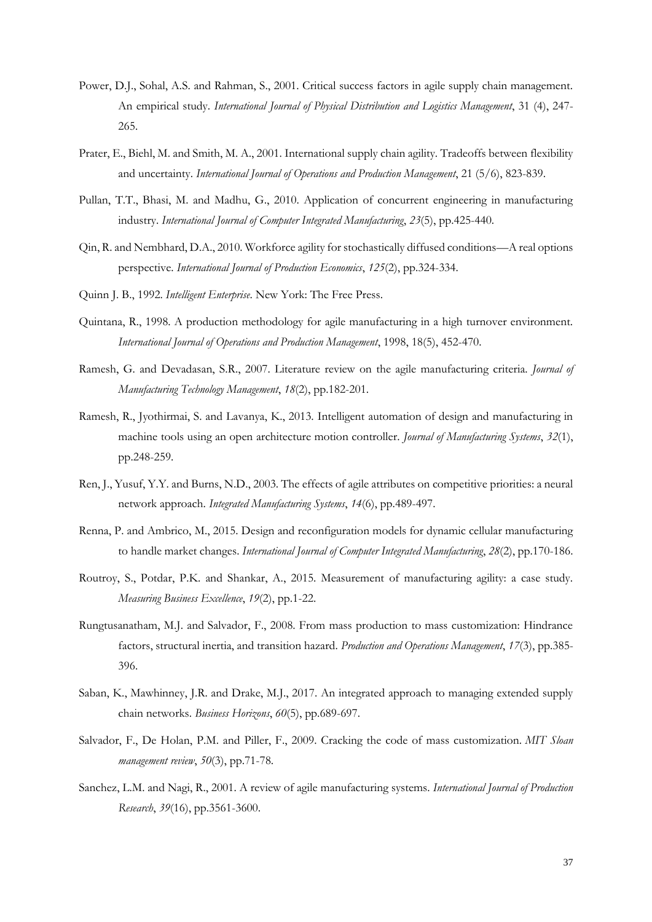- Power, D.J., Sohal, A.S. and Rahman, S., 2001. Critical success factors in agile supply chain management. An empirical study. *International Journal of Physical Distribution and Logistics Management*, 31 (4), 247- 265.
- Prater, E., Biehl, M. and Smith, M. A., 2001. International supply chain agility. Tradeoffs between flexibility and uncertainty. *International Journal of Operations and Production Management*, 21 (5/6), 823-839.
- Pullan, T.T., Bhasi, M. and Madhu, G., 2010. Application of concurrent engineering in manufacturing industry. *International Journal of Computer Integrated Manufacturing*, *23*(5), pp.425-440.
- Qin, R. and Nembhard, D.A., 2010. Workforce agility for stochastically diffused conditions—A real options perspective. *International Journal of Production Economics*, *125*(2), pp.324-334.
- Quinn J. B., 1992. *Intelligent Enterprise*. New York: The Free Press.
- Quintana, R., 1998. A production methodology for agile manufacturing in a high turnover environment. *International Journal of Operations and Production Management*, 1998, 18(5), 452-470.
- Ramesh, G. and Devadasan, S.R., 2007. Literature review on the agile manufacturing criteria. *Journal of Manufacturing Technology Management*, *18*(2), pp.182-201.
- Ramesh, R., Jyothirmai, S. and Lavanya, K., 2013. Intelligent automation of design and manufacturing in machine tools using an open architecture motion controller. *Journal of Manufacturing Systems*, *32*(1), pp.248-259.
- Ren, J., Yusuf, Y.Y. and Burns, N.D., 2003. The effects of agile attributes on competitive priorities: a neural network approach. *Integrated Manufacturing Systems*, *14*(6), pp.489-497.
- Renna, P. and Ambrico, M., 2015. Design and reconfiguration models for dynamic cellular manufacturing to handle market changes. *International Journal of Computer Integrated Manufacturing*, *28*(2), pp.170-186.
- Routroy, S., Potdar, P.K. and Shankar, A., 2015. Measurement of manufacturing agility: a case study. *Measuring Business Excellence*, *19*(2), pp.1-22.
- Rungtusanatham, M.J. and Salvador, F., 2008. From mass production to mass customization: Hindrance factors, structural inertia, and transition hazard. *Production and Operations Management*, *17*(3), pp.385- 396.
- Saban, K., Mawhinney, J.R. and Drake, M.J., 2017. An integrated approach to managing extended supply chain networks. *Business Horizons*, *60*(5), pp.689-697.
- Salvador, F., De Holan, P.M. and Piller, F., 2009. Cracking the code of mass customization. *MIT Sloan management review*, *50*(3), pp.71-78.
- Sanchez, L.M. and Nagi, R., 2001. A review of agile manufacturing systems. *International Journal of Production Research*, *39*(16), pp.3561-3600.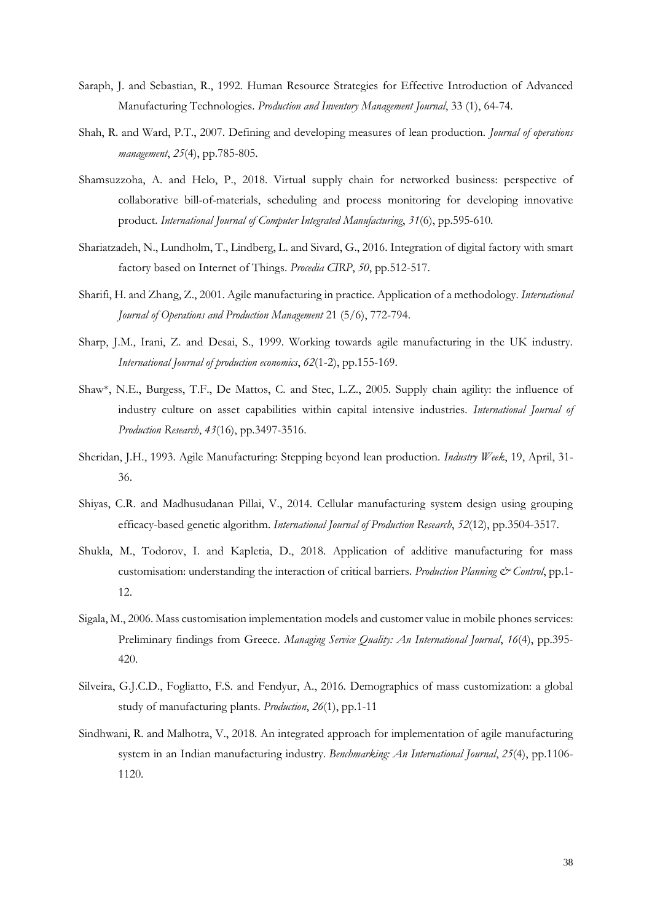- Saraph, J. and Sebastian, R., 1992. Human Resource Strategies for Effective Introduction of Advanced Manufacturing Technologies. *Production and Inventory Management Journal*, 33 (1), 64-74.
- Shah, R. and Ward, P.T., 2007. Defining and developing measures of lean production. *Journal of operations management*, *25*(4), pp.785-805.
- Shamsuzzoha, A. and Helo, P., 2018. Virtual supply chain for networked business: perspective of collaborative bill-of-materials, scheduling and process monitoring for developing innovative product. *International Journal of Computer Integrated Manufacturing*, *31*(6), pp.595-610.
- Shariatzadeh, N., Lundholm, T., Lindberg, L. and Sivard, G., 2016. Integration of digital factory with smart factory based on Internet of Things. *Procedia CIRP*, *50*, pp.512-517.
- Sharifi, H. and Zhang, Z., 2001. Agile manufacturing in practice. Application of a methodology. *International Journal of Operations and Production Management* 21 (5/6), 772-794.
- Sharp, J.M., Irani, Z. and Desai, S., 1999. Working towards agile manufacturing in the UK industry. *International Journal of production economics*, *62*(1-2), pp.155-169.
- Shaw\*, N.E., Burgess, T.F., De Mattos, C. and Stec, L.Z., 2005. Supply chain agility: the influence of industry culture on asset capabilities within capital intensive industries. *International Journal of Production Research*, *43*(16), pp.3497-3516.
- Sheridan, J.H., 1993. Agile Manufacturing: Stepping beyond lean production. *Industry Week*, 19, April, 31- 36.
- Shiyas, C.R. and Madhusudanan Pillai, V., 2014. Cellular manufacturing system design using grouping efficacy-based genetic algorithm. *International Journal of Production Research*, *52*(12), pp.3504-3517.
- Shukla, M., Todorov, I. and Kapletia, D., 2018. Application of additive manufacturing for mass customisation: understanding the interaction of critical barriers. *Production Planning & Control*, pp.1- 12.
- Sigala, M., 2006. Mass customisation implementation models and customer value in mobile phones services: Preliminary findings from Greece. *Managing Service Quality: An International Journal*, *16*(4), pp.395- 420.
- Silveira, G.J.C.D., Fogliatto, F.S. and Fendyur, A., 2016. Demographics of mass customization: a global study of manufacturing plants. *Production*, *26*(1), pp.1-11
- Sindhwani, R. and Malhotra, V., 2018. An integrated approach for implementation of agile manufacturing system in an Indian manufacturing industry. *Benchmarking: An International Journal*, *25*(4), pp.1106- 1120.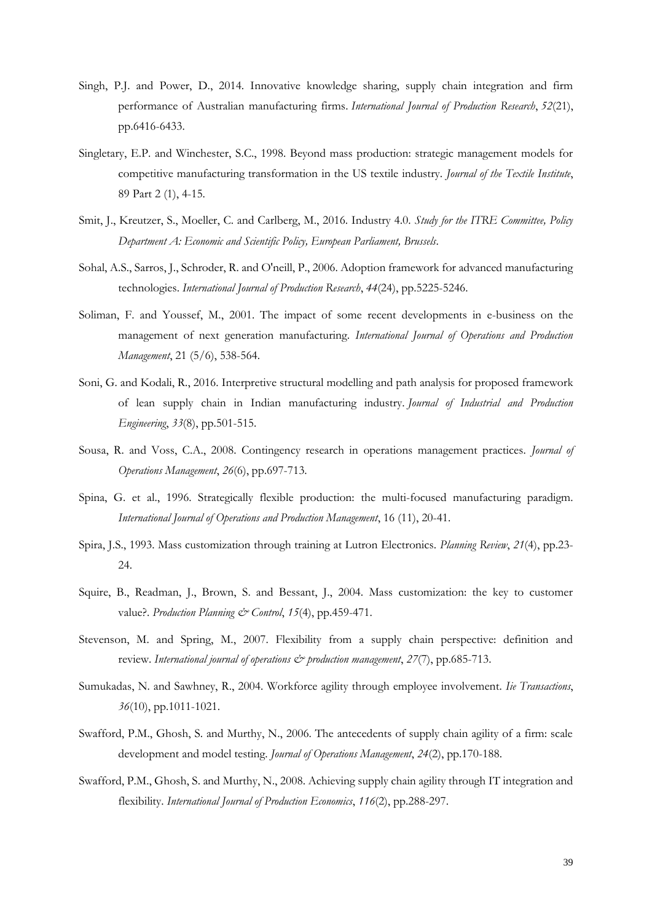- Singh, P.J. and Power, D., 2014. Innovative knowledge sharing, supply chain integration and firm performance of Australian manufacturing firms. *International Journal of Production Research*, *52*(21), pp.6416-6433.
- Singletary, E.P. and Winchester, S.C., 1998. Beyond mass production: strategic management models for competitive manufacturing transformation in the US textile industry. *Journal of the Textile Institute*, 89 Part 2 (1), 4-15.
- Smit, J., Kreutzer, S., Moeller, C. and Carlberg, M., 2016. Industry 4.0. *Study for the ITRE Committee, Policy Department A: Economic and Scientific Policy, European Parliament, Brussels*.
- Sohal, A.S., Sarros, J., Schroder, R. and O'neill, P., 2006. Adoption framework for advanced manufacturing technologies. *International Journal of Production Research*, *44*(24), pp.5225-5246.
- Soliman, F. and Youssef, M., 2001. The impact of some recent developments in e-business on the management of next generation manufacturing. *International Journal of Operations and Production Management*, 21 (5/6), 538-564.
- Soni, G. and Kodali, R., 2016. Interpretive structural modelling and path analysis for proposed framework of lean supply chain in Indian manufacturing industry. *Journal of Industrial and Production Engineering*, *33*(8), pp.501-515.
- Sousa, R. and Voss, C.A., 2008. Contingency research in operations management practices. *Journal of Operations Management*, *26*(6), pp.697-713.
- Spina, G. et al., 1996. Strategically flexible production: the multi-focused manufacturing paradigm. *International Journal of Operations and Production Management*, 16 (11), 20-41.
- Spira, J.S., 1993. Mass customization through training at Lutron Electronics. *Planning Review*, *21*(4), pp.23- 24.
- Squire, B., Readman, J., Brown, S. and Bessant, J., 2004. Mass customization: the key to customer value?. *Production Planning & Control*, *15*(4), pp.459-471.
- Stevenson, M. and Spring, M., 2007. Flexibility from a supply chain perspective: definition and review. *International journal of operations*  $\mathcal{Q}$  *production management*, 27(7), pp.685-713.
- Sumukadas, N. and Sawhney, R., 2004. Workforce agility through employee involvement. *Iie Transactions*, *36*(10), pp.1011-1021.
- Swafford, P.M., Ghosh, S. and Murthy, N., 2006. The antecedents of supply chain agility of a firm: scale development and model testing. *Journal of Operations Management*, *24*(2), pp.170-188.
- Swafford, P.M., Ghosh, S. and Murthy, N., 2008. Achieving supply chain agility through IT integration and flexibility. *International Journal of Production Economics*, *116*(2), pp.288-297.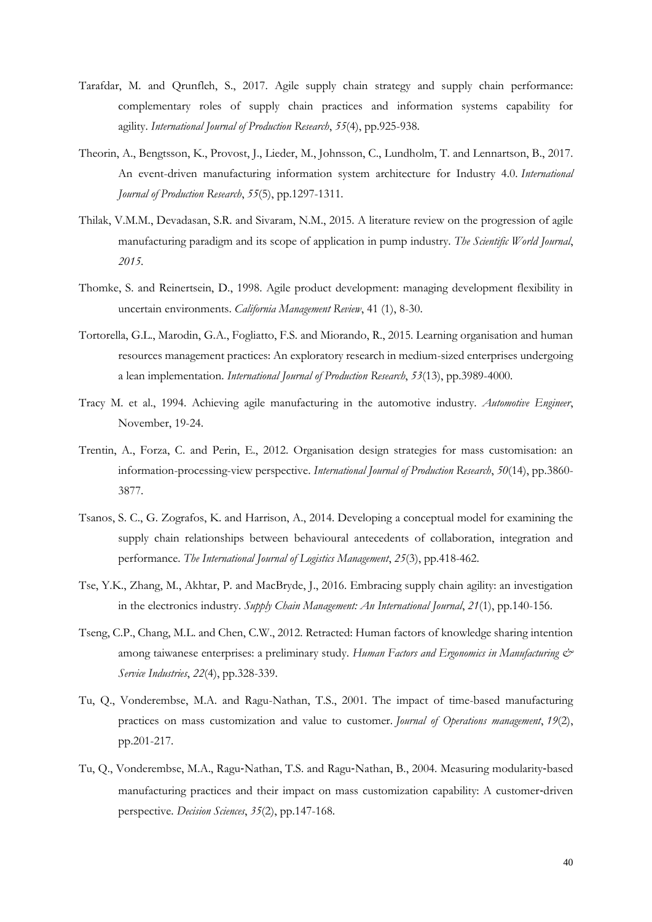- Tarafdar, M. and Qrunfleh, S., 2017. Agile supply chain strategy and supply chain performance: complementary roles of supply chain practices and information systems capability for agility. *International Journal of Production Research*, *55*(4), pp.925-938.
- Theorin, A., Bengtsson, K., Provost, J., Lieder, M., Johnsson, C., Lundholm, T. and Lennartson, B., 2017. An event-driven manufacturing information system architecture for Industry 4.0. *International Journal of Production Research*, *55*(5), pp.1297-1311.
- Thilak, V.M.M., Devadasan, S.R. and Sivaram, N.M., 2015. A literature review on the progression of agile manufacturing paradigm and its scope of application in pump industry. *The Scientific World Journal*, *2015*.
- Thomke, S. and Reinertsein, D., 1998. Agile product development: managing development flexibility in uncertain environments. *California Management Review*, 41 (1), 8-30.
- Tortorella, G.L., Marodin, G.A., Fogliatto, F.S. and Miorando, R., 2015. Learning organisation and human resources management practices: An exploratory research in medium-sized enterprises undergoing a lean implementation. *International Journal of Production Research*, *53*(13), pp.3989-4000.
- Tracy M. et al., 1994. Achieving agile manufacturing in the automotive industry. *Automotive Engineer*, November, 19-24.
- Trentin, A., Forza, C. and Perin, E., 2012. Organisation design strategies for mass customisation: an information-processing-view perspective. *International Journal of Production Research*, *50*(14), pp.3860- 3877.
- Tsanos, S. C., G. Zografos, K. and Harrison, A., 2014. Developing a conceptual model for examining the supply chain relationships between behavioural antecedents of collaboration, integration and performance. *The International Journal of Logistics Management*, *25*(3), pp.418-462.
- Tse, Y.K., Zhang, M., Akhtar, P. and MacBryde, J., 2016. Embracing supply chain agility: an investigation in the electronics industry. *Supply Chain Management: An International Journal*, *21*(1), pp.140-156.
- Tseng, C.P., Chang, M.L. and Chen, C.W., 2012. Retracted: Human factors of knowledge sharing intention among taiwanese enterprises: a preliminary study. *Human Factors and Ergonomics in Manufacturing & Service Industries*, *22*(4), pp.328-339.
- Tu, Q., Vonderembse, M.A. and Ragu-Nathan, T.S., 2001. The impact of time-based manufacturing practices on mass customization and value to customer. *Journal of Operations management*, *19*(2), pp.201-217.
- Tu, Q., Vonderembse, M.A., Ragu-Nathan, T.S. and Ragu-Nathan, B., 2004. Measuring modularity-based manufacturing practices and their impact on mass customization capability: A customer-driven perspective. *Decision Sciences*, *35*(2), pp.147-168.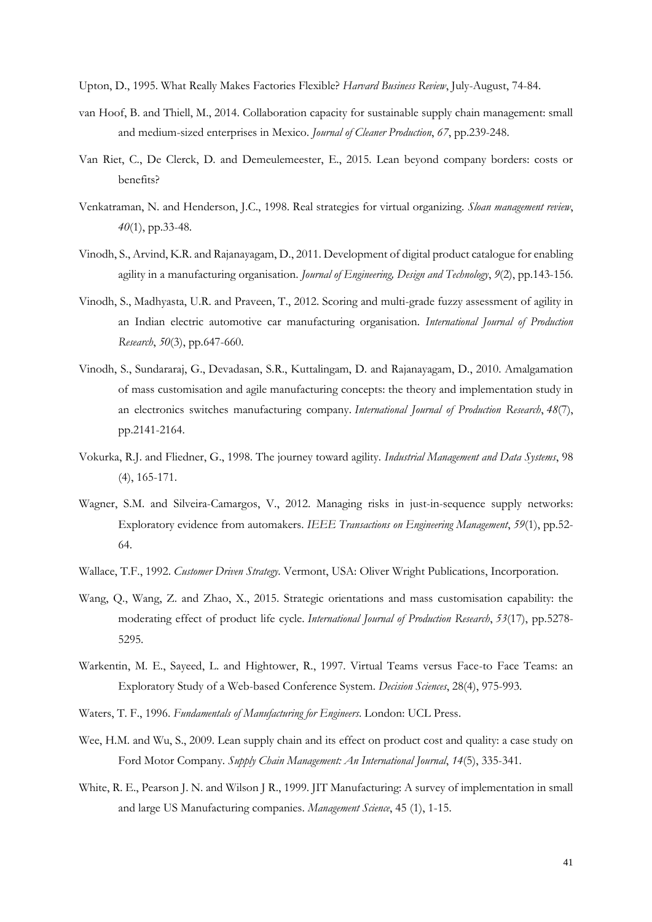Upton, D., 1995. What Really Makes Factories Flexible? *Harvard Business Review*, July-August, 74-84.

- van Hoof, B. and Thiell, M., 2014. Collaboration capacity for sustainable supply chain management: small and medium-sized enterprises in Mexico. *Journal of Cleaner Production*, *67*, pp.239-248.
- Van Riet, C., De Clerck, D. and Demeulemeester, E., 2015. Lean beyond company borders: costs or benefits?
- Venkatraman, N. and Henderson, J.C., 1998. Real strategies for virtual organizing. *Sloan management review*, *40*(1), pp.33-48.
- Vinodh, S., Arvind, K.R. and Rajanayagam, D., 2011. Development of digital product catalogue for enabling agility in a manufacturing organisation. *Journal of Engineering, Design and Technology*, *9*(2), pp.143-156.
- Vinodh, S., Madhyasta, U.R. and Praveen, T., 2012. Scoring and multi-grade fuzzy assessment of agility in an Indian electric automotive car manufacturing organisation. *International Journal of Production Research*, *50*(3), pp.647-660.
- Vinodh, S., Sundararaj, G., Devadasan, S.R., Kuttalingam, D. and Rajanayagam, D., 2010. Amalgamation of mass customisation and agile manufacturing concepts: the theory and implementation study in an electronics switches manufacturing company. *International Journal of Production Research*, *48*(7), pp.2141-2164.
- Vokurka, R.J. and Fliedner, G., 1998. The journey toward agility. *Industrial Management and Data Systems*, 98 (4), 165-171.
- Wagner, S.M. and Silveira-Camargos, V., 2012. Managing risks in just-in-sequence supply networks: Exploratory evidence from automakers. *IEEE Transactions on Engineering Management*, *59*(1), pp.52- 64.
- Wallace, T.F., 1992. *Customer Driven Strategy*. Vermont, USA: Oliver Wright Publications, Incorporation.
- Wang, Q., Wang, Z. and Zhao, X., 2015. Strategic orientations and mass customisation capability: the moderating effect of product life cycle. *International Journal of Production Research*, *53*(17), pp.5278- 5295.
- Warkentin, M. E., Sayeed, L. and Hightower, R., 1997. Virtual Teams versus Face-to Face Teams: an Exploratory Study of a Web-based Conference System. *Decision Sciences*, 28(4), 975-993.
- Waters, T. F., 1996. *Fundamentals of Manufacturing for Engineers*. London: UCL Press.
- Wee, H.M. and Wu, S., 2009. Lean supply chain and its effect on product cost and quality: a case study on Ford Motor Company. *Supply Chain Management: An International Journal*, *14*(5), 335-341.
- White, R. E., Pearson J. N. and Wilson J R., 1999. JIT Manufacturing: A survey of implementation in small and large US Manufacturing companies. *Management Science*, 45 (1), 1-15.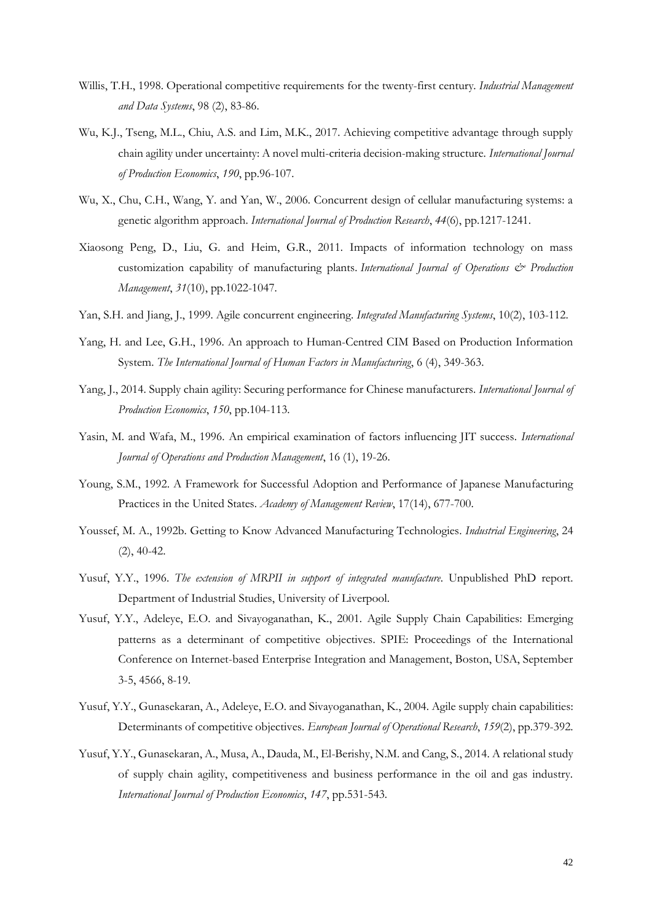- Willis, T.H., 1998. Operational competitive requirements for the twenty-first century. *Industrial Management and Data Systems*, 98 (2), 83-86.
- Wu, K.J., Tseng, M.L., Chiu, A.S. and Lim, M.K., 2017. Achieving competitive advantage through supply chain agility under uncertainty: A novel multi-criteria decision-making structure. *International Journal of Production Economics*, *190*, pp.96-107.
- Wu, X., Chu, C.H., Wang, Y. and Yan, W., 2006. Concurrent design of cellular manufacturing systems: a genetic algorithm approach. *International Journal of Production Research*, *44*(6), pp.1217-1241.
- Xiaosong Peng, D., Liu, G. and Heim, G.R., 2011. Impacts of information technology on mass customization capability of manufacturing plants. *International Journal of Operations & Production Management*, *31*(10), pp.1022-1047.
- Yan, S.H. and Jiang, J., 1999. Agile concurrent engineering. *Integrated Manufacturing Systems*, 10(2), 103-112.
- Yang, H. and Lee, G.H., 1996. An approach to Human-Centred CIM Based on Production Information System. *The International Journal of Human Factors in Manufacturing*, 6 (4), 349-363.
- Yang, J., 2014. Supply chain agility: Securing performance for Chinese manufacturers. *International Journal of Production Economics*, *150*, pp.104-113.
- Yasin, M. and Wafa, M., 1996. An empirical examination of factors influencing JIT success. *International Journal of Operations and Production Management*, 16 (1), 19-26.
- Young, S.M., 1992. A Framework for Successful Adoption and Performance of Japanese Manufacturing Practices in the United States. *Academy of Management Review*, 17(14), 677-700.
- Youssef, M. A., 1992b. Getting to Know Advanced Manufacturing Technologies. *Industrial Engineering*, 24 (2), 40-42.
- Yusuf, Y.Y., 1996. *The extension of MRPII in support of integrated manufacture*. Unpublished PhD report. Department of Industrial Studies, University of Liverpool.
- Yusuf, Y.Y., Adeleye, E.O. and Sivayoganathan, K., 2001. Agile Supply Chain Capabilities: Emerging patterns as a determinant of competitive objectives. SPIE: Proceedings of the International Conference on Internet-based Enterprise Integration and Management, Boston, USA, September 3-5, 4566, 8-19.
- Yusuf, Y.Y., Gunasekaran, A., Adeleye, E.O. and Sivayoganathan, K., 2004. Agile supply chain capabilities: Determinants of competitive objectives. *European Journal of Operational Research*, *159*(2), pp.379-392.
- Yusuf, Y.Y., Gunasekaran, A., Musa, A., Dauda, M., El-Berishy, N.M. and Cang, S., 2014. A relational study of supply chain agility, competitiveness and business performance in the oil and gas industry. *International Journal of Production Economics*, *147*, pp.531-543.